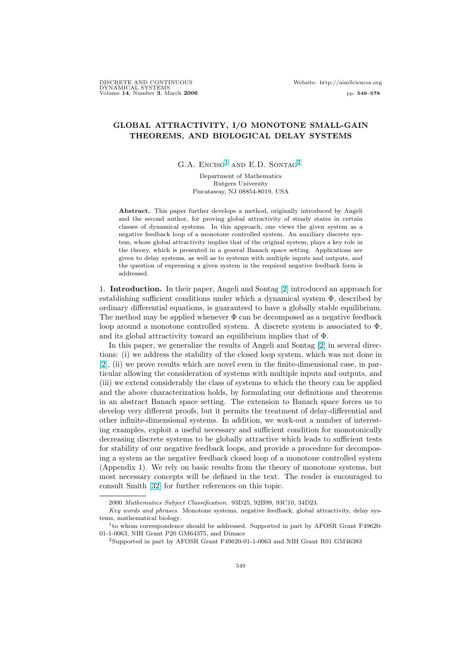# GLOBAL ATTRACTIVITY, I/O MONOTONE SMALL-GAIN THEOREMS, AND BIOLOGICAL DELAY SYSTEMS

 $G.A.$  ENCISO<sup>1</sup> AND E.D. SONTAG<sup>2</sup>

Department of Mathematics Rutgers University Piscataway, NJ 08854-8019, USA

Abstract. This paper further develops a method, originally introduced by Angeli and the second author, for proving global attractivity of steady states in certain classes of dynamical systems. In this approach, one views the given system as a negative feedback loop of a monotone controlled system. An auxiliary discrete system, whose global attractivity implies that of the original system, plays a key role in the theory, which is presented in a general Banach space setting. Applications are given to delay systems, as well as to systems with multiple inputs and outputs, and the question of expressing a given system in the required negative feedback form is addressed.

1. Introduction. In their paper, Angeli and Sontag [2] introduced an approach for establishing sufficient conditions under which a dynamical system  $\Phi$ , described by ordinary differential equations, is guaranteed to have a globally stable equilibrium. The method may be applied whenever  $\Phi$  can be decomposed as a negative feedback loop around a monotone controlled system. A discr[ete](#page-27-0) system is associated to Φ, and its global attractivity toward an equilibrium implies that of Φ.

In this paper, we generalize the results of Angeli and Sontag [2] in several directions: (i) we address the stability of the closed loop system, which was not done in [2], (ii) we prove results which are novel even in the finite-dimensional case, in particular allowing the consideration of systems with multiple inputs and outputs, and (iii) we extend considerably the class of systems to which the th[eor](#page-27-0)y can be applied and the above characterization holds, by formulating our definitions and theorems [in](#page-27-0) an abstract Banach space setting. The extension to Banach space forces us to develop very different proofs, but it permits the treatment of delay-differential and other infinite-dimensional systems. In addition, we work-out a number of interesting examples, exploit a useful necessary and sufficient condition for monotonically decreasing discrete systems to be globally attractive which leads to sufficient tests for stability of our negative feedback loops, and provide a procedure for decomposing a system as the negative feedback closed loop of a monotone controlled system (Appendix 1). We rely on basic results from the theory of monotone systems, but most necessary concepts will be defined in the text. The reader is encouraged to consult Smith [32] for further references on this topic.

<sup>2000</sup> Mathematics Subject Classification. 93D25, 92B99, 93C10, 34D23.

Key words and phrases. Monotone systems, negative feedback, global attractivity, delay systems, mathematical biology.

<sup>&</sup>lt;sup>1</sup> to whom cor[resp](#page-28-0)ondence should be addressed. Supported in part by AFOSR Grant F49620-01-1-0063, NIH Grant P20 GM64375, and Dimacs

<sup>2</sup>Supported in part by AFOSR Grant F49620-01-1-0063 and NIH Grant R01 GM46383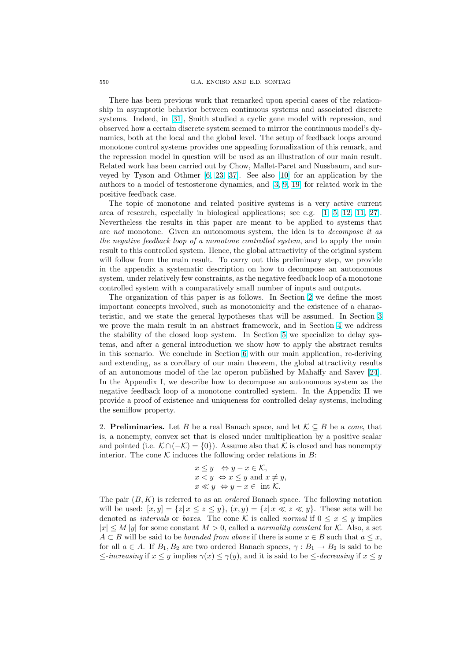There has been previous work that remarked upon special cases of the relationship in asymptotic behavior between continuous systems and associated discrete systems. Indeed, in [31], Smith studied a cyclic gene model with repression, and observed how a certain discrete system seemed to mirror the continuous model's dynamics, both at the local and the global level. The setup of feedback loops around monotone control systems provides one appealing formalization of this remark, and the repression model [in](#page-28-0) question will be used as an illustration of our main result. Related work has been carried out by Chow, Mallet-Paret and Nussbaum, and surveyed by Tyson and Othmer [6, 23, 37]. See also [10] for an application by the authors to a model of testosterone dynamics, and [3, 9, 19] for related work in the positive feedback case.

The topic of monotone and related positive systems is a very active current area of research, especially in [b](#page-27-0)i[ological](#page-28-0) applicatio[ns;](#page-28-0) see e.g. [1, 5, 12, 11, 27]. Nevertheless the results in this paper are meant [to](#page-27-0) [be a](#page-28-0)pplied to systems that are not monotone. Given an autonomous system, the idea is to decompose it as the negative feedback loop of a monotone controlled system, and to apply the main result to this controlled system. Hence, the global attractivity of t[he](#page-27-0) [or](#page-27-0)i[ginal sy](#page-28-0)s[tem](#page-28-0) will follow from the main result. To carry out this preliminary step, we provide in the appendix a systematic description on how to decompose an autonomous system, under relatively few constraints, as the negative feedback loop of a monotone controlled system with a comparatively small number of inputs and outputs.

The organization of this paper is as follows. In Section 2 we define the most important concepts involved, such as monotonicity and the existence of a characteristic, and we state the general hypotheses that will be assumed. In Section 3 we prove the main result in an abstract framework, and in Section 4 we address the stability of the closed loop system. In Section 5 we specialize to delay systems, and after a general introduction we show how to apply the abstract results in this scenario. We conclude in Section 6 with our main application, re-derivi[ng](#page-4-0) and extending, as a corollary of our main theorem, the global attra[cti](#page-8-0)vity results of an autonomous model of the lac operon publishe[d](#page-11-0) by Mahaffy and Savev [24]. In the Appendix I, we describe how to decompose an autonomous system as the negative feedback loop of a monotone c[ont](#page-17-0)rolled system. In the Appendix II we provide a proof of existence and uniqueness for controlled delay systems, including the semiflow property.

2. **Preliminaries.** Let B be a real Banach space, and let  $\mathcal{K} \subseteq B$  be a *cone*, that is, a nonempty, convex set that is closed under multiplication by a positive scalar and pointed (i.e.  $K \cap (-K) = \{0\}$ ). Assume also that K is closed and has nonempty interior. The cone  $K$  induces the following order relations in  $B$ :

$$
x \leq y \iff y - x \in \mathcal{K},
$$
  
\n
$$
x < y \iff x \leq y \text{ and } x \neq y,
$$
  
\n
$$
x \ll y \iff y - x \in \text{ int } \mathcal{K}.
$$

The pair  $(B, K)$  is referred to as an *ordered* Banach space. The following notation will be used:  $[x, y] = \{z | x \le z \le y\}, (x, y) = \{z | x \ll z \ll y\}.$  These sets will be denoted as *intervals* or *boxes*. The cone K is called *normal* if  $0 \le x \le y$  implies  $|x| \le M |y|$  for some constant  $M > 0$ , called a normality constant for K. Also, a set  $A \subset B$  will be said to be *bounded from above* if there is some  $x \in B$  such that  $a \leq x$ , for all  $a \in A$ . If  $B_1, B_2$  are two ordered Banach spaces,  $\gamma : B_1 \to B_2$  is said to be  $\le$ -increasing if  $x \leq y$  implies  $\gamma(x) \leq \gamma(y)$ , and it is said to be  $\leq$ -decreasing if  $x \leq y$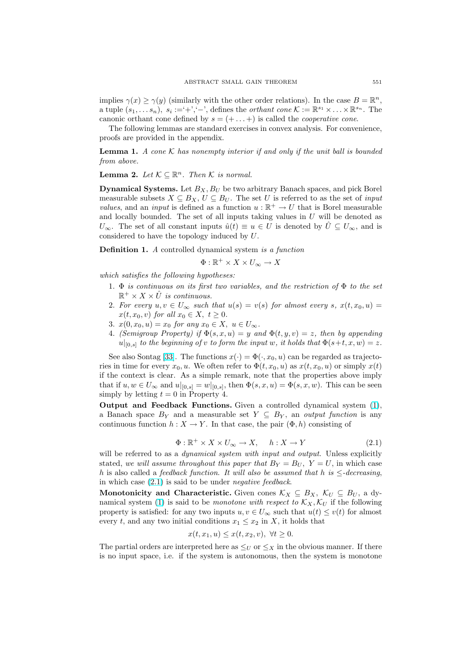<span id="page-2-0"></span>implies  $\gamma(x) \geq \gamma(y)$  (similarly with the other order relations). In the case  $B = \mathbb{R}^n$ , a tuple  $(s_1, \ldots s_n)$ ,  $s_i := \hat{ }^* + \hat{ }^*, - \hat{ }^*$ , defines the *orthant cone*  $\mathcal{K} := \mathbb{R}^{s_1} \times \ldots \times \mathbb{R}^{s_n}$ . The canonic orthant cone defined by  $s = (+ \dots +)$  is called the *cooperative cone*.

The following lemmas are standard exercises in convex analysis. For convenience, proofs are provided in the appendix.

**Lemma 1.** A cone K has nonempty interior if and only if the unit ball is bounded from above.

**Lemma 2.** Let  $K \subseteq \mathbb{R}^n$ . Then K is normal.

**Dynamical Systems.** Let  $B_X$ ,  $B_U$  be two arbitrary Banach spaces, and pick Borel measurable subsets  $X \subseteq B_X$ ,  $U \subseteq B_U$ . The set U is referred to as the set of *input values*, and an *input* is defined as a function  $u : \mathbb{R}^+ \to U$  that is Borel measurable and locally bounded. The set of all inputs taking values in  $U$  will be denoted as  $U_{\infty}$ . The set of all constant inputs  $\hat{u}(t) \equiv u \in U$  is denoted by  $\hat{U} \subseteq U_{\infty}$ , and is considered to have the topology induced by U.

**Definition 1.** A controlled dynamical system is a function

$$
\Phi: \mathbb{R}^+ \times X \times U_{\infty} \to X
$$

which satisfies the following hypotheses:

- 1.  $\Phi$  is continuous on its first two variables, and the restriction of  $\Phi$  to the set  $\mathbb{R}^+ \times X \times \hat{U}$  is continuous.
- 2. For every  $u, v \in U_{\infty}$  such that  $u(s) = v(s)$  for almost every s,  $x(t, x_0, u) =$  $x(t, x_0, v)$  for all  $x_0 \in X$ ,  $t \geq 0$ .
- 3.  $x(0, x_0, u) = x_0$  for any  $x_0 \in X$ ,  $u \in U_{\infty}$ .
- 4. (Semigroup Property) if  $\Phi(s, x, u) = y$  and  $\Phi(t, y, v) = z$ , then by appending  $u|_{[0,s]}$  to the beginning of v to form the input w, it holds that  $\Phi(s+t,x,w)=z$ .

See also Sontag [33]. The functions  $x(\cdot) = \Phi(\cdot, x_0, u)$  can be regarded as trajectories in time for every  $x_0, u$ . We often refer to  $\Phi(t, x_0, u)$  as  $x(t, x_0, u)$  or simply  $x(t)$ if the context is clear. As a simple remark, note that the properties above imply that if  $u, w \in U_{\infty}$  and  $u|_{[0,s]} = w|_{[0,s]}$ , then  $\Phi(s, x, u) = \Phi(s, x, w)$ . This can be seen simply by letting  $t = 0$  $t = 0$  in Property 4.

Output and Feedback Functions. Given a controlled dynamical system (1), a Banach space  $B_Y$  and a measurable set  $Y \subseteq B_Y$ , an *output function* is any continuous function  $h: X \to Y$ . In that case, the pair  $(\Phi, h)$  consisting of

$$
\Phi: \mathbb{R}^+ \times X \times U_{\infty} \to X, \quad h: X \to Y \tag{2.1}
$$

will be referred to as a *dynamical system with input and output*. Unless explicitly stated, we will assume throughout this paper that  $B_Y = B_U$ ,  $Y = U$ , in which case h is also called a feedback function. It will also be assumed that h is  $\leq$ -decreasing, in which case (2.1) is said to be under negative feedback.

Monotonicity and Characteristic. Given cones  $\mathcal{K}_X \subseteq B_X$ ,  $\mathcal{K}_U \subseteq B_U$ , a dynamical system (1) is said to be *monotone with respect to*  $\mathcal{K}_X$ ,  $\mathcal{K}_U$  if the following property is satisfied: for any two inputs  $u, v \in U_{\infty}$  such that  $u(t) \leq v(t)$  for almost every t, and any two initial conditions  $x_1 \leq x_2$  in X, it holds that

$$
x(t, x_1, u) \le x(t, x_2, v), \ \forall t \ge 0.
$$

The partial orders are interpreted here as  $\leq_U$  or  $\leq_X$  in the obvious manner. If there is no input space, i.e. if the system is autonomous, then the system is monotone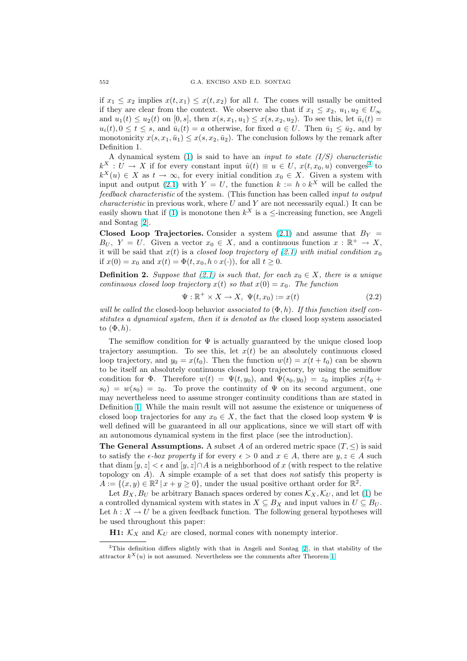if  $x_1 \leq x_2$  implies  $x(t, x_1) \leq x(t, x_2)$  for all t. The cones will usually be omitted if they are clear from the context. We observe also that if  $x_1 \le x_2, u_1, u_2 \in U_{\infty}$ and  $u_1(t) \le u_2(t)$  on [0, s], then  $x(s, x_1, u_1) \le x(s, x_2, u_2)$ . To see this, let  $\bar{u}_i(t) =$  $u_i(t), 0 \le t \le s$ , and  $\bar{u}_i(t) = a$  otherwise, for fixed  $a \in U$ . Then  $\bar{u}_1 \le \bar{u}_2$ , and by monotonicity  $x(s, x_1, \bar{u}_1) \leq x(s, x_2, \bar{u}_2)$ . The conclusion follows by the remark after Definition 1.

A dynamical system  $(1)$  is said to have an *input to state*  $(I/S)$  *characteristic*  $k^X: U \to X$  if for every constant input  $\hat{u}(t) \equiv u \in U$ ,  $x(t, x_0, u)$  converges<sup>3</sup> to  $k^{X}(u) \in X$  as  $t \to \infty$ , for every initial condition  $x_0 \in X$ . Given a system with input and output (2.1) with  $Y = U$ , the function  $k := h \circ k^{X}$  will be called the feedback characteristic of [th](#page-2-0)e system. (This function has been called input to output *characteristic* in previous work, where  $U$  and  $Y$  are not necessarily equal.) It can be easily shown that if (1) is monotone then  $k^X$  is a  $\leq$ -increasing function, see Angeli and Sontag [2].

Closed Loop Trajectories. Consider a system (2.1) and assume that  $B_Y =$  $B_U$ ,  $Y = U$ . Given a vector  $x_0 \in X$ , and a continuous function  $x : \mathbb{R}^+ \to X$ , i[t](#page-2-0) will be said that  $x(t)$  is a closed loop trajectory of (2.1) with initial condition  $x_0$ if  $x(0) = x_0$  [an](#page-27-0)d  $x(t) = \Phi(t, x_0, h \circ x(\cdot))$ , for all  $t \geq 0$ .

**Definition 2.** Suppose that (2.1) is such that, for [each](#page-2-0)  $x_0 \in X$ , there is a unique continuous closed loop trajectory  $x(t)$  so that  $x(0) = x_0$ . The function

$$
\Psi: \mathbb{R}^+ \times X \to X, \ \Psi(t, x_0) := x(t) \tag{2.2}
$$

will be called the closed-loop b[ehav](#page-2-0)ior associated to  $(\Phi, h)$ . If this function itself constitutes a dynamical system, then it is denoted as the closed loop system associated to  $(\Phi, h)$ .

The semiflow condition for  $\Psi$  is actually guaranteed by the unique closed loop trajectory assumption. To see this, let  $x(t)$  be an absolutely continuous closed loop trajectory, and  $y_0 = x(t_0)$ . Then the function  $w(t) = x(t + t_0)$  can be shown to be itself an absolutely continuous closed loop trajectory, by using the semiflow condition for  $\Phi$ . Therefore  $w(t) = \Psi(t, y_0)$ , and  $\Psi(s_0, y_0) = z_0$  implies  $x(t_0 +$  $s_0$ ) =  $w(s_0) = z_0$ . To prove the continuity of  $\Psi$  on its second argument, one may nevertheless need to assume stronger continuity conditions than are stated in Definition 1. While the main result will not assume the existence or uniqueness of closed loop trajectories for any  $x_0 \in X$ , the fact that the closed loop system  $\Psi$  is well defined will be guaranteed in all our applications, since we will start off with an autonomous dynamical system in the first place (see the introduction).

**The Gen[er](#page-2-0)al Assumptions.** A subset A of an ordered metric space  $(T, \leq)$  is said to satisfy the  $\epsilon$ -box property if for every  $\epsilon > 0$  and  $x \in A$ , there are  $y, z \in A$  such that diam  $[y, z] < \epsilon$  and  $[y, z] \cap A$  is a neighborhood of x (with respect to the relative topology on  $A$ ). A simple example of a set that does not satisfy this property is  $A := \{(x, y) \in \mathbb{R}^2 \mid x + y \ge 0\}$ , under the usual positive orthant order for  $\mathbb{R}^2$ .

Let  $B_X, B_U$  be arbitrary Banach spaces ordered by cones  $\mathcal{K}_X, \mathcal{K}_U$ , and let (1) be a controlled dynamical system with states in  $X \subseteq B_X$  and input values in  $U \subseteq B_U$ . Let  $h: X \to U$  be a given feedback function. The following general hypotheses will be used throughout this paper:

**H1:**  $\mathcal{K}_X$  and  $\mathcal{K}_U$  are closed, normal cones with nonempty interior.

<sup>3</sup>This definition differs slightly with that in Angeli and Sontag [2], in that stability of the attractor  $k^X(u)$  is not assumed. Nevertheless see the comments after Theorem 1.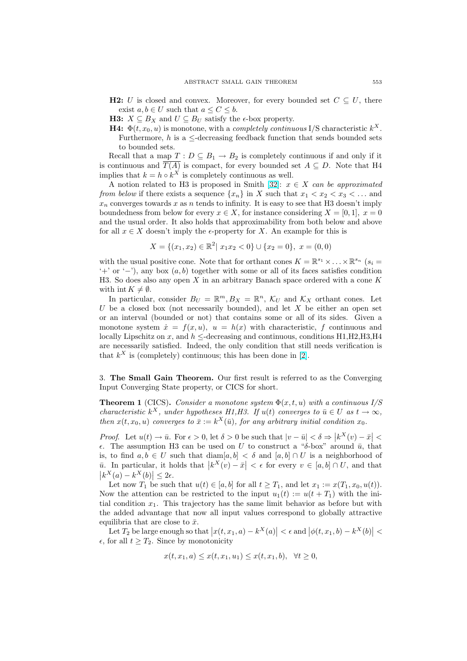- <span id="page-4-0"></span>**H2:** U is closed and convex. Moreover, for every bounded set  $C \subseteq U$ , there exist  $a, b \in U$  such that  $a \leq C \leq b$ .
- **H3:**  $X \subseteq B_X$  and  $U \subseteq B_U$  satisfy the  $\epsilon$ -box property.
- **H4:**  $\Phi(t, x_0, u)$  is monotone, with a *completely continuous* I/S characteristic  $k^X$ . Furthermore, h is a  $\leq$ -decreasing feedback function that sends bounded sets to bounded sets.

Recall that a map  $T: D \subseteq B_1 \to B_2$  is completely continuous if and only if it is continuous and  $\overline{T(A)}$  is compact, for every bounded set  $A \subseteq D$ . Note that H4 implies that  $k = h \circ k^X$  is completely continuous as well.

A notion related to H3 is proposed in Smith [32]:  $x \in X$  can be approximated from below if there exists a sequence  ${x_n}$  in X such that  $x_1 < x_2 < x_3 < ...$  and  $x_n$  converges towards x as n tends to infinity. It is easy to see that H3 doesn't imply boundedness from below for every  $x \in X$ , for instance considering  $X = [0, 1], x = 0$ and the usual order. It also holds that approxima[bili](#page-28-0)ty from both below and above for all  $x \in X$  doesn't imply the  $\epsilon$ -property for X. An example for this is

$$
X = \{(x_1, x_2) \in \mathbb{R}^2 \mid x_1 x_2 < 0\} \cup \{x_2 = 0\}, \ x = (0, 0)
$$

with the usual positive cone. Note that for orthant cones  $K = \mathbb{R}^{s_1} \times \ldots \times \mathbb{R}^{s_n}$  ( $s_i =$  $'$ +' or '−'), any box  $(a, b)$  together with some or all of its faces satisfies condition H3. So does also any open  $X$  in an arbitrary Banach space ordered with a cone  $K$ with int  $K \neq \emptyset$ .

In particular, consider  $B_U = \mathbb{R}^m$ ,  $B_X = \mathbb{R}^n$ ,  $\mathcal{K}_U$  and  $\mathcal{K}_X$  orthant cones. Let U be a closed box (not necessarily bounded), and let  $X$  be either an open set or an interval (bounded or not) that contains some or all of its sides. Given a monotone system  $\dot{x} = f(x, u)$ ,  $u = h(x)$  with characteristic, f continuous and locally Lipschitz on x, and  $h \leq$ -decreasing and continuous, conditions H1, H2, H3, H4 are necessarily satisfied. Indeed, the only condition that still needs verification is that  $k^X$  is (completely) continuous; this has been done in [2].

3. The Small Gain Theorem. Our first result is referred to as the Converging Input Converging State property, or CICS for short.

**Theorem 1** (CICS). Consider a monotone system  $\Phi(x, t, u)$  with a continuous I/S characteristic  $k^X$ , under hypotheses H1,H3. If  $u(t)$  converges to  $\bar{u} \in U$  as  $t \to \infty$ , then  $x(t, x_0, u)$  converges to  $\bar{x} := k^X(\bar{u})$ , for any arbitrary initial condition  $x_0$ .

*Proof.* Let  $u(t) \to \bar{u}$ . For  $\epsilon > 0$ , let  $\delta > 0$  be such that  $|v - \bar{u}| < \delta \Rightarrow$  $\left|k^X(v) - \bar{x}\right|$  $ε$ . The assumption H3 can be used on U to construct a "δ-box" around  $\bar{u}$ , that is, to find  $a, b \in U$  such that  $\text{diam}[a, b] < \delta$  and  $[a, b] \cap U$  is a neighborhood of  $\overline{u}$ . In particular, it holds that  $|k^X(v) - \overline{x}| < \epsilon$  for every  $v \in [a, b] \cap U$ , and that  $|k^X(a) - k^X(b)| \leq 2\epsilon.$ 

Let now  $T_1$  be such that  $u(t) \in [a, b]$  for all  $t \geq T_1$ , and let  $x_1 := x(T_1, x_0, u(t))$ . Now the attention can be restricted to the input  $u_1(t) := u(t + T_1)$  with the initial condition  $x_1$ . This trajectory has the same limit behavior as before but with the added advantage that now all input values correspond to globally attractive equilibria that are close to  $\bar{x}$ .

Let  $T_2$  be large enough so that  $|x(t, x_1, a) - k^X(a)| < \epsilon \text{ and } |\phi(t, x_1, b) - k^X(b)| <$  $\epsilon$ , for all  $t \geq T_2$ . Since by monotonicity

$$
x(t, x_1, a) \le x(t, x_1, u_1) \le x(t, x_1, b), \ \forall t \ge 0,
$$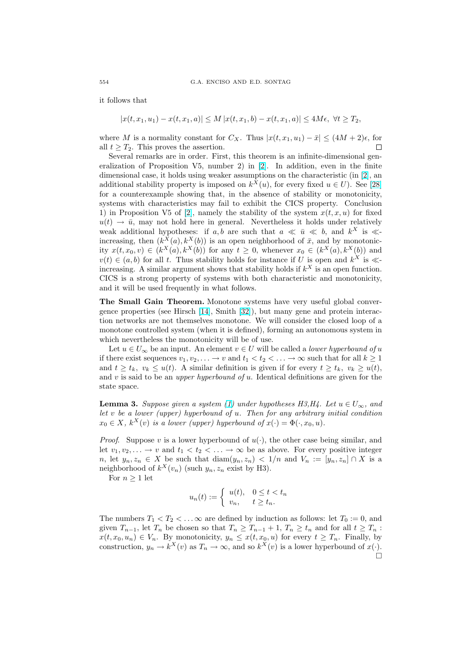<span id="page-5-0"></span>it follows that

$$
|x(t, x_1, u_1) - x(t, x_1, a)| \le M |x(t, x_1, b) - x(t, x_1, a)| \le 4M\epsilon, \ \forall t \ge T_2,
$$

where M is a normality constant for  $C_X$ . Thus  $|x(t, x_1, u_1) - \bar{x}| \leq (4M + 2)\epsilon$ , for all  $t \geq T_2$ . This proves the assertion. П

Several remarks are in order. First, this theorem is an infinite-dimensional generalization of Proposition V5, number 2) in [2]. In addition, even in the finite dimensional case, it holds using weaker assumptions on the characteristic (in [2], an additional stability property is imposed on  $k^{X}(u)$ , for every fixed  $u \in U$ ). See [28] for a counterexample showing that, in the absence of stability or monotonicity, systems with characteristics may fail to exhi[bit](#page-27-0) the CICS property. Conclusion 1) in Proposition V5 of [2], namely the stability of the system  $x(t, x, u)$  for [fi](#page-27-0)xed  $u(t) \rightarrow \bar{u}$ , may not hold here in general. Nevertheless it holds under relati[vely](#page-28-0) weak additional hypotheses: if a, b are such that  $a \ll \bar{u} \ll b$ , and  $k^X$  is  $\ll$ increasing, then  $(k^X(a), k^X(b))$  is an open neighborhood of  $\bar{x}$ , and by monotonicity  $x(t, x_0, v) \in (k^X(a), k^X(b))$  $x(t, x_0, v) \in (k^X(a), k^X(b))$  $x(t, x_0, v) \in (k^X(a), k^X(b))$  for any  $t \geq 0$ , whenever  $x_0 \in (k^X(a), k^X(b))$  and  $v(t) \in (a, b)$  for all t. Thus stability holds for instance if U is open and  $k^X$  is  $\ll$ increasing. A similar argument shows that stability holds if  $k^X$  is an open function. CICS is a strong property of systems with both characteristic and monotonicity, and it will be used frequently in what follows.

The Small Gain Theorem. Monotone systems have very useful global convergence properties (see Hirsch [14], Smith [32]), but many gene and protein interaction networks are not themselves monotone. We will consider the closed loop of a monotone controlled system (when it is defined), forming an autonomous system in which nevertheless the monotonicity will be of use.

Let  $u \in U_{\infty}$  be an input. A[n e](#page-28-0)lement  $v \in U$  will be called a *lower hyperbound of u* if there exist sequences  $v_1, v_2, \ldots \to v$  and  $t_1 < t_2 < \ldots \to \infty$  such that for all  $k \geq 1$ and  $t \geq t_k$ ,  $v_k \leq u(t)$ . A similar definition is given if for every  $t \geq t_k$ ,  $v_k \geq u(t)$ , and  $v$  is said to be an *upper hyperbound of u*. Identical definitions are given for the state space.

**Lemma 3.** Suppose given a system (1) under hypotheses H3, H4. Let  $u \in U_{\infty}$ , and let v be a lower (upper) hyperbound of u. Then for any arbitrary initial condition  $x_0 \in X$ ,  $k^X(v)$  is a lower (upper) hyperbound of  $x(\cdot) = \Phi(\cdot, x_0, u)$ .

*Proof.* Suppose v is a lower hyperb[oun](#page-2-0)d of  $u(\cdot)$ , the other case being similar, and let  $v_1, v_2, \ldots \to v$  and  $t_1 < t_2 < \ldots \to \infty$  be as above. For every positive integer n, let  $y_n, z_n \in X$  be such that  $\text{diam}(y_n, z_n) < 1/n$  and  $V_n := [y_n, z_n] \cap X$  is a neighborhood of  $k^X(v_n)$  (such  $y_n, z_n$  exist by H3).

For  $n \geq 1$  let

$$
u_n(t) := \begin{cases} u(t), & 0 \le t < t_n, \\ v_n, & t \ge t_n. \end{cases}
$$

The numbers  $T_1 < T_2 < \ldots \infty$  are defined by induction as follows: let  $T_0 := 0$ , and given  $T_{n-1}$ , let  $T_n$  be chosen so that  $T_n \geq T_{n-1} + 1$ ,  $T_n \geq t_n$  and for all  $t \geq T_n$ :  $x(t, x_0, u_n) \in V_n$ . By monotonicity,  $y_n \leq x(t, x_0, u)$  for every  $t \geq T_n$ . Finally, by construction,  $y_n \to k^X(v)$  as  $T_n \to \infty$ , and so  $k^X(v)$  is a lower hyperbound of  $x(\cdot)$ .  $\Box$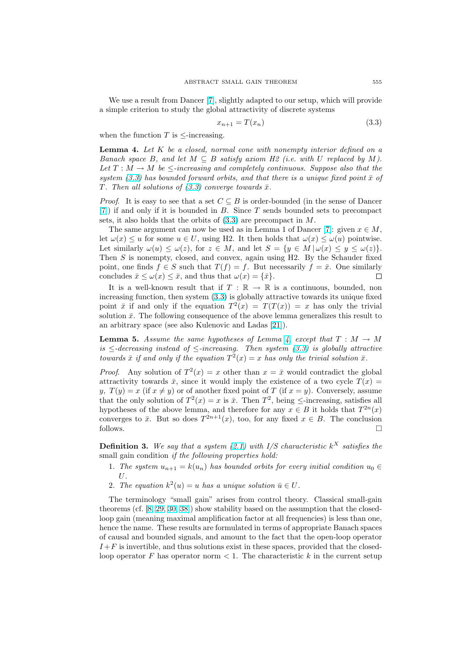<span id="page-6-0"></span>We use a result from Dancer [7], slightly adapted to our setup, which will provide a simple criterion to study the global attractivity of discrete systems

$$
x_{n+1} = T(x_n) \tag{3.3}
$$

when the function  $T$  is  $\leq$ -incre[asi](#page-27-0)ng.

**Lemma 4.** Let  $K$  be a closed, normal cone with nonempty interior defined on a Banach space B, and let  $M \subseteq B$  satisfy axiom H2 (i.e. with U replaced by M). Let  $T : M \to M$  be  $\leq$ -increasing and completely continuous. Suppose also that the system (3.3) has bounded forward orbits, and that there is a unique fixed point  $\bar{x}$  of T. Then all solutions of  $(3.3)$  converge towards  $\bar{x}$ .

*Proof.* It is easy to see that a set  $C \subseteq B$  is order-bounded (in the sense of Dancer [7]) if and only if it is bounded in B. Since T sends bounded sets to precompact sets, it also holds that the orbits of (3.3) are precompact in M.

The same argument can now be used as in Lemma 1 of Dancer [7]: given  $x \in M$ , let  $\omega(x) \le u$  for some  $u \in U$ , using H2. It then holds that  $\omega(x) \le \omega(u)$  pointwise. [Le](#page-27-0)t similarly  $\omega(u) \leq \omega(z)$ , for  $z \in M$ , and let  $S = \{y \in M \mid \omega(x) \leq y \leq \omega(z)\}.$ Then  $S$  is nonempty, closed, and convex, again using H2. By the Schauder fixed point, one finds  $f \in S$  such that  $T(f) = f$ . But necessarily  $f = \bar{x}$  $f = \bar{x}$  $f = \bar{x}$ . One similarly concludes  $\bar{x} \leq \omega(x) \leq \bar{x}$ , and thus that  $\omega(x) = {\bar{x}}$ . П

It is a well-known result that if  $T : \mathbb{R} \to \mathbb{R}$  is a continuous, bounded, non increasing function, then system (3.3) is globally attractive towards its unique fixed point  $\bar{x}$  if and only if the equation  $T^2(x) = T(T(x)) = x$  has only the trivial solution  $\bar{x}$ . The following consequence of the above lemma generalizes this result to an arbitrary space (see also Kulenovic and Ladas [21]).

**Lemma 5.** Assume the same hypotheses of Lemma 4, except that  $T : M \to M$ is  $\leq$ -decreasing instead of  $\leq$ -increasing. Then system (3.3) is globally attractive towards  $\bar{x}$  if and only if the equation  $T^2(x) = x$  h[as o](#page-28-0)nly the trivial solution  $\bar{x}$ .

*Proof.* Any solution of  $T^2(x) = x$  other than  $x = \overline{x}$  would contradict the global attractivity towards  $\bar{x}$ , since it would imply the existence of a two cycle  $T(x)$ y,  $T(y) = x$  (if  $x \neq y$ ) or of another fixed point of T (if  $x = y$ ). Conversely, assume that the only solution of  $T^2(x) = x$  is  $\bar{x}$ . Then  $T^2$ , being  $\leq$ -increasing, satisfies all hypotheses of the above lemma, and therefore for any  $x \in B$  it holds that  $T^{2n}(x)$ converges to  $\bar{x}$ . But so does  $T^{2n+1}(x)$ , too, for any fixed  $x \in B$ . The conclusion follows.  $\Box$ 

**Definition 3.** We say that a system (2.1) with I/S characteristic  $k^X$  satisfies the small gain condition *if the following properties hold*:

- 1. The system  $u_{n+1} = k(u_n)$  has bounded orbits for every initial condition  $u_0 \in$ U.
- 2. The equation  $k^2(u) = u$  has a un[ique](#page-2-0) solution  $\bar{u} \in U$ .

The terminology "small gain" arises from control theory. Classical small-gain theorems (cf. [8, 29, 30, 38]) show stability based on the assumption that the closedloop gain (meaning maximal amplification factor at all frequencies) is less than one, hence the name. These results are formulated in terms of appropriate Banach spaces of causal and bounded signals, and amount to the fact that the open-loop operator  $I + F$  is invert[ib](#page-27-0)l[e, and](#page-28-0) [thu](#page-29-0)s solutions exist in these spaces, provided that the closedloop operator F has operator norm  $\leq 1$ . The characteristic k in the current setup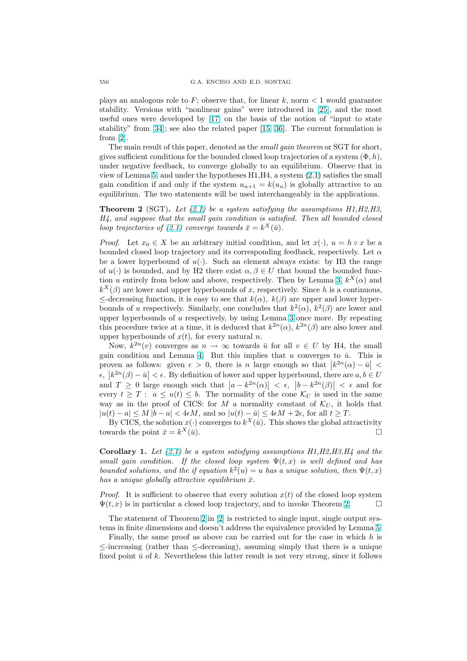plays an analogous role to  $F$ ; observe that, for linear k, norm  $\lt 1$  would guarantee stability. Versions with "nonlinear gains" were introduced in [25], and the most useful ones were developed by [17] on the basis of the notion of "input to state stability" from [34]; see also the related paper [15, 36]. The current formulation is from [2].

The [m](#page-28-0)ain result of this paper, denoted as the *small gain theorem* or SGT for short, gives sufficient conditions for the [bou](#page-28-0)nded closed loop trajectories of a system  $(\Phi, h)$ , under negative [feed](#page-28-0)back, to converge globally [to an e](#page-28-0)quilibrium. Observe that in view [of](#page-27-0) Lemma 5, and under the hypotheses H1,H4, a system (2.1) satisfies the small gain condition if and only if the system  $u_{n+1} = k(u_n)$  is globally attractive to an equilibrium. The two statements will be used interchangeably in the applications.

**Theorem 2** (SGT). Let (2.1) be a system satisfying the assumptions  $H1, H2, H3$ , H4, and suppo[se](#page-6-0) that the small gain condition is satisfied. T[hen](#page-2-0) all bounded closed loop trajectories of (2.1) converge towards  $\bar{x} = k^X(\bar{u})$ .

*Proof.* Let  $x_0 \in X$  be an arbitrary initial condition, and let  $x(\cdot)$ ,  $u = h \circ x$  be a bounded closed loop trajec[tory](#page-2-0) and its corresponding feedback, respectively. Let  $\alpha$ be a lower hyperbound of  $u(\cdot)$ . Such an element always exists: by H3 the range of  $u(\cdot)$  is bounded, [and](#page-2-0) by H2 there exist  $\alpha, \beta \in U$  that bound the bounded function u entirely from below and above, respectively. Then by Lemma 3,  $k^X(\alpha)$  and  $k^X(\beta)$  are lower and upper hyperbounds of x, respectively. Since h is a continuous,  $\leq$ -decreasing function, it is easy to see that  $k(\alpha)$ ,  $k(\beta)$  are upper and lower hyperbounds of u respectively. Similarly, one concludes that  $k^2(\alpha)$ ,  $k^2(\beta)$  are lower and upper hyperbounds of u respectively, by using Lemma 3 once more. [B](#page-5-0)y repeating this procedure twice at a time, it is deduced that  $k^{2n}(\alpha)$ ,  $k^{2n}(\beta)$  are also lower and upper hyperbounds of  $x(t)$ , for every natural n.

Now,  $k^{2n}(v)$  converges as  $n \to \infty$  towards  $\bar{u}$  for all  $v \in U$  by H4, the small gain condition and Lemma 4. B[u](#page-5-0)t this implies that u converges to  $\bar{u}$ . This is proven as follows: given  $\epsilon > 0$ , there is n large enough so that  $|k^{2n}(\alpha) - \bar{u}| <$  $\epsilon, |k^{2n}(\beta) - \bar{u}| < \epsilon$ . By definition of lower and upper hyperbound, there are  $a, b \in U$ and  $T \geq 0$  large enough such that  $|a - k^{2n}(\alpha)| < \epsilon$ ,  $|b - k^{2n}(\beta)| < \epsilon$  and for every  $t \geq T : a \leq u(t) \leq b$ [.](#page-6-0) The normality of the cone  $\mathcal{K}_U$  is used in the same way as in the proof of CICS: for M a normality constant of  $\mathcal{K}_U$ , it holds that  $|u(t) - a| \le M |b - a| < 4\epsilon M$ , and so  $|u(t) - \bar{u}| \le 4\epsilon M + 2\epsilon$ , for all  $t \ge T$ .

By CICS, the solution  $x(\cdot)$  converges to  $k^X(\bar{u})$ . This shows the global attractivity towards the point  $\bar{x} = k^X(\bar{u})$ .  $X(\bar{u})$ .

**Corollary 1.** Let  $(2.1)$  be a system satisfying assumptions  $H1, H2, H3, H4$  and the small gain condition. If the closed loop system  $\Psi(t,x)$  is well defined and has bounded solutions, and the if equation  $k^2(u) = u$  has a unique solution, then  $\Psi(t, x)$ has a unique globally attractive equilibrium  $\bar{x}$ .

*Proof.* It is sufficie[nt to](#page-2-0) observe that every solution  $x(t)$  of the closed loop system  $\Psi(t, x)$  is in particular a closed loop trajectory, and to invoke Theorem 2.  $\Box$ 

The statement of Theorem 2 in [2] is restricted to single input, single output systems in finite dimensions and doesn't address the equivalence provided by Lemma 5.

Finally, the same proof as above can be carried out for the case in which  $h$  is ≤-increasing (rather than ≤-decreasing), assuming simply that there is a unique fixed point  $\bar{u}$  of k. Nevertheless th[is](#page-27-0) latter result is not very strong, since it follows

<span id="page-7-0"></span>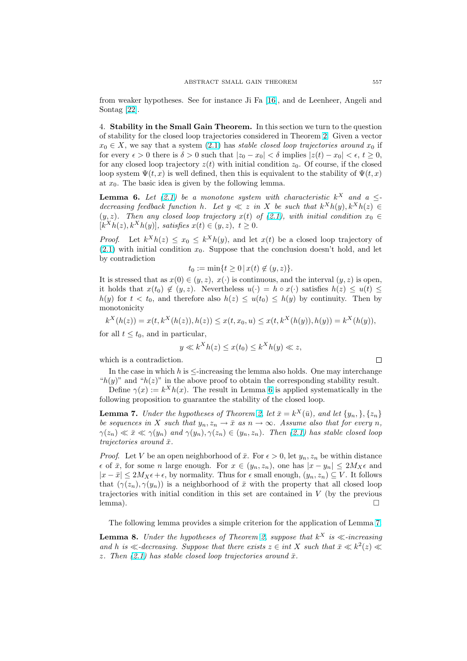<span id="page-8-0"></span>from weaker hypotheses. See for instance Ji Fa [16], and de Leenheer, Angeli and Sontag [22].

4. Stability in the Small Gain Theorem. In this section we turn to the question of stability for the closed loop trajectories consid[ered](#page-28-0) in Theorem 2. Given a vector  $x_0 \in X$ [, we](#page-28-0) say that a system (2.1) has stable closed loop trajectories around  $x_0$  if for every  $\epsilon > 0$  there is  $\delta > 0$  such that  $|z_0 - x_0| < \delta$  implies  $|z(t) - x_0| < \epsilon$ ,  $t \ge 0$ , for any closed loop trajectory  $z(t)$  with initial condition  $z_0$ . Of course, if the closed loop system  $\Psi(t, x)$  is well defined, then this is equivalent to the [sta](#page-7-0)bility of  $\Psi(t, x)$ at  $x_0$ . The basic idea is given [by th](#page-2-0)e following lemma.

**Lemma 6.** Let (2.1) be a monotone system with characteristic  $k^X$  and a  $\leq$ decreasing feedback function h. Let  $y \ll z$  in X be such that  $k^{X}h(y)$ ,  $k^{X}h(z) \in$  $(y, z)$ . Then any closed loop trajectory  $x(t)$  of  $(2.1)$ , with initial condition  $x_0 \in$  $[k^X h(z), k^X h(y)],$  satisfies  $x(t) \in (y, z), t \geq 0.$ 

*Proof.* Let  $k^X h(z) \le x_0 \le k^X h(y)$  $k^X h(z) \le x_0 \le k^X h(y)$  $k^X h(z) \le x_0 \le k^X h(y)$ , and let  $x(t)$  be a closed loop trajectory of  $(2.1)$  with initial condition  $x_0$ . Suppose that th[e con](#page-2-0)clusion doesn't hold, and let by contradiction

$$
t_0 := \min\{t \ge 0 \,|\, x(t) \notin (y, z)\}.
$$

It is stressed that as  $x(0) \in (y, z)$ ,  $x(\cdot)$  is continuous, and the interval  $(y, z)$  is open, i[t ho](#page-2-0)lds that  $x(t_0) \notin (y, z)$ . Nevertheless  $u(\cdot) = h \circ x(\cdot)$  satisfies  $h(z) \leq u(t) \leq$  $h(y)$  for  $t < t_0$ , and therefore also  $h(z) \leq u(t_0) \leq h(y)$  by continuity. Then by monotonicity

$$
k^{X}(h(z)) = x(t, k^{X}(h(z)), h(z)) \le x(t, x_0, u) \le x(t, k^{X}(h(y)), h(y)) = k^{X}(h(y)),
$$

for all  $t \leq t_0$ , and in particular,

$$
y \ll k^X h(z) \le x(t_0) \le k^X h(y) \ll z,
$$

which is a contradiction.

In the case in which  $h$  is  $\leq$ -increasing the lemma also holds. One may interchange " $h(y)$ " and " $h(z)$ " in the above proof to obtain the corresponding stability result.

Define  $\gamma(x) := k^X h(x)$ . The result in Lemma 6 is applied systematically in the following proposition to guarantee the stability of the closed loop.

**Lemma 7.** Under the hypotheses of Theorem 2, let  $\bar{x} = k^X(\bar{u})$ , and let  $\{y_n, \}$ ,  $\{z_n\}$ be sequences in X such that  $y_n, z_n \to \bar{x}$  as  $n \to \infty$ . Assume also that for every n,  $\gamma(z_n) \ll \bar{x} \ll \gamma(y_n)$  and  $\gamma(y_n), \gamma(z_n) \in (y_n, z_n)$ . Then (2.1) has stable closed loop trajectories around  $\bar{x}$ .

*Proof.* Let V be an open neighborhood of  $\bar{x}$ . [For](#page-7-0)  $\epsilon > 0$ , let  $y_n, z_n$  be within distance  $\epsilon$  of  $\bar{x}$ , for some n large enough. For  $x \in (y_n, z_n)$ , one has  $|x - y_n| \leq 2M_X \epsilon$  and  $|x - \bar{x}| \leq 2M_X\epsilon + \epsilon$ , by normality. Thus for  $\epsilon$  small enough,  $(y_n, z_n) \subseteq V$ . It follows that  $(\gamma(z_n), \gamma(y_n))$  is a neighborhood of  $\bar{x}$  with the property that all closed loop trajectories with initial condition in this set are contained in  $V$  (by the previous lemma).  $\Box$ 

The following lemma provides a simple criterion for the application of Lemma 7.

**Lemma 8.** Under the hypotheses of Theorem 2, suppose that  $k^X$  is  $\ll$ -increasing and h is  $\ll$ -decreasing. Suppose that there exists  $z \in int X$  such that  $\bar{x} \ll k^2(z) \ll$ z. Then  $(2.1)$  has stable closed loop trajectories around  $\bar{x}$ .

□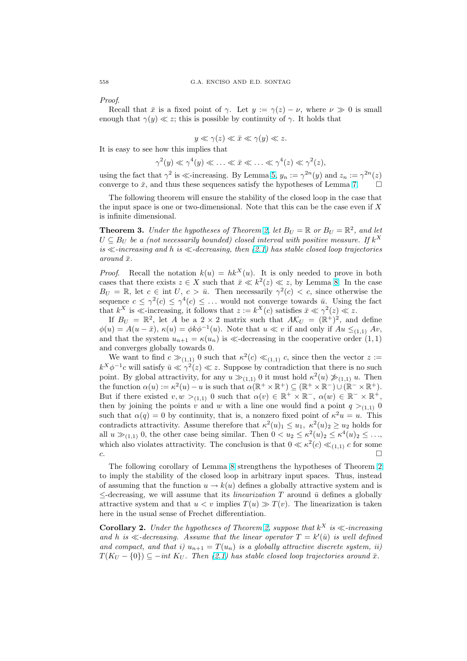<span id="page-9-0"></span>Proof.

Recall that  $\bar{x}$  is a fixed point of  $\gamma$ . Let  $y := \gamma(z) - \nu$ , where  $\nu \gg 0$  is small enough that  $\gamma(y) \ll z$ ; this is possible by continuity of  $\gamma$ . It holds that

$$
y \ll \gamma(z) \ll \bar{x} \ll \gamma(y) \ll z.
$$

It is easy to see how this implies that

$$
\gamma^2(y) \ll \gamma^4(y) \ll \ldots \ll \bar{x} \ll \ldots \ll \gamma^4(z) \ll \gamma^2(z),
$$

using the fact that  $\gamma^2$  is  $\ll$ -increasing. By Lemma 5,  $y_n := \gamma^{2n}(y)$  and  $z_n := \gamma^{2n}(z)$ converge to  $\bar{x}$ , and thus these sequences satisfy the hypotheses of Lemma 7.

The following theorem will ensure the stability of the closed loop in the case that the input space is one or two-dimensional. Note that this can be the case even if  $X$ is infinite dimensional.

**Theorem 3.** Under the hypotheses of Theorem [2](#page-8-0), let  $B_U = \mathbb{R}$  or  $B_U = \mathbb{R}^2$ , and let  $U \subseteq B_U$  be a (not necessarily bounded) closed interval with positive measure. If  $k^X$ is  $\ll$ -increasing and h is  $\ll$ -decreasing, then (2.1) has stable closed loop trajectories around  $\bar{x}$ .

*Proof.* Recall the notation  $k(u) = hk^X(u)$ . [It](#page-7-0) is only needed to prove in both cases that there exists  $z \in X$  such that  $\bar{x} \ll k^2(z) \ll z$ , by Lemma 8. In the case  $B_U = \mathbb{R}$ , let  $c \in \text{int } U, c > \bar{u}$ . Then nece[ssari](#page-2-0)ly  $\gamma^2(c) < c$ , since otherwise the sequence  $c \leq \gamma^2(c) \leq \gamma^4(c) \leq \ldots$  would not converge towards  $\bar{u}$ . Using the fact that  $k^X$  is  $\ll$ -increasing, it follows that  $z := k^X(c)$  satisfies  $\bar{x} \ll \gamma^2(z) \ll z$ .

If  $B_U = \mathbb{R}^2$ , let A be a 2 × 2 matrix such that  $A\mathcal{K}_U = (\mathbb{R}^+)^2$  $A\mathcal{K}_U = (\mathbb{R}^+)^2$  $A\mathcal{K}_U = (\mathbb{R}^+)^2$ , and define  $\phi(u) = A(u - \bar{x}), \ \kappa(u) = \phi k \phi^{-1}(u).$  Note that  $u \ll v$  if and only if  $Au \leq_{(1,1)} Av$ , and that the system  $u_{n+1} = \kappa(u_n)$  is  $\ll$ -decreasing in the cooperative order  $(1, 1)$ and converges globally towards 0.

We want to find  $c \gg_{(1,1)} 0$  such that  $\kappa^2(c) \ll_{(1,1)} c$ , since then the vector  $z :=$  $k^X \phi^{-1}c$  will satisfy  $\bar{u} \ll \gamma^2(z) \ll z$ . Suppose by contradiction that there is no such point. By global attractivity, for any  $u \gg_{(1,1)} 0$  it must hold  $\kappa^2(u) \not\gg_{(1,1)} u$ . Then the function  $\alpha(u) := \kappa^2(u) - u$  is such that  $\alpha(\mathbb{R}^+ \times \mathbb{R}^+) \subseteq (\mathbb{R}^+ \times \mathbb{R}^-) \cup (\mathbb{R}^- \times \mathbb{R}^+).$ But if there existed  $v, w >_{(1,1)} 0$  such that  $\alpha(v) \in \mathbb{R}^+ \times \mathbb{R}^-$ ,  $\alpha(w) \in \mathbb{R}^- \times \mathbb{R}^+$ , then by joining the points v and w with a line one would find a point  $q >_{(1,1)} 0$ such that  $\alpha(q) = 0$  by continuity, that is, a nonzero fixed point of  $\kappa^2 u = u$ . This contradicts attractivity. Assume therefore that  $\kappa^2(u)_1 \leq u_1, \ \kappa^2(u)_2 \geq u_2$  holds for all  $u \gg_{(1,1)} 0$ , the other case being similar. Then  $0 < u_2 \leq \kappa^2(u)_2 \leq \kappa^4(u)_2 \leq \ldots$ which also violates attractivity. The conclusion is that  $0 \ll \kappa^2(c) \ll_{(1,1)} c$  for some  $c.$ 

The following corollary of Lemma 8 strengthens the hypotheses of Theorem 2 to imply the stability of the closed loop in arbitrary input spaces. Thus, instead of assuming that the function  $u \to k(u)$  defines a globally attractive system and is  $\leq$ -decreasing, we will assume that its *linearization* T around  $\bar{u}$  defines a globally attractive system and that  $u < v$  imp[lie](#page-8-0)s  $T(u) \gg T(v)$ . The linearization is tak[en](#page-7-0) here in the usual sense of Frechet differentiation.

**Corollary 2.** Under the hypotheses of Theorem 2, suppose that  $k^X$  is  $\ll$ -increasing and h is  $\ll$ -decreasing. Assume that the linear operator  $T = k'(\bar{u})$  is well defined and compact, and that i)  $u_{n+1} = T(u_n)$  is a globally attractive discrete system, ii)  $T(K_U - \{0\}) \subseteq -int K_U$ . Then (2.1) has stable closed loop trajectories around  $\bar{x}$ .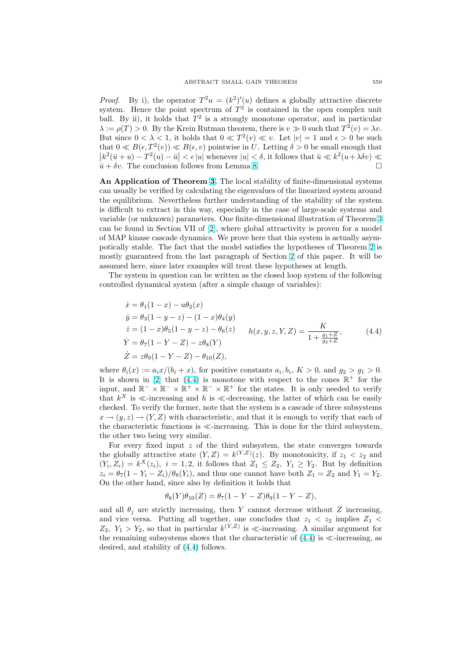*Proof.* By i), the operator  $T^2u = (k^2)'(u)$  defines a globally attractive discrete system. Hence the point spectrum of  $T^2$  is contained in the open complex unit ball. By ii), it holds that  $T^2$  is a strongly monotone operator, and in particular  $\lambda := \rho(T) > 0$ . By the Krein Rutman theorem, there is  $v \gg 0$  such that  $T^2(v) = \lambda v$ . But since  $0 < \lambda < 1$ , it holds that  $0 \ll T^2(v) \ll v$ . Let  $|v| = 1$  and  $\epsilon > 0$  be such that  $0 \ll B(\epsilon, T^2(v)) \ll B(\epsilon, v)$  pointwise in U. Letting  $\delta > 0$  be small enough that  $|k^2(\bar{u}+u)-T^2(u)-\bar{u}|<\epsilon |u|$  whenever  $|u|<\delta$ , it follows that  $\bar{u}\ll k^2(u+\lambda\delta v)\ll$  $\bar{u} + \delta v$ . The conclusion follows from Lemma 8.

An Application of Theorem 3. The local stability of finite-dimensional systems can usually be verified by calculating the eigenvalues of the linearized system around the equilibrium. Nevertheless further understanding of the stability of the system is difficult to extract in this way, especially [in](#page-8-0) the case of large-scale systems and variable (or unknown) paramete[rs.](#page-9-0) One finite-dimensional illustration of Theorem 3 can be found in Section VII of [2], where global attractivity is proven for a model of MAP kinase cascade dynamics. We prove here that this system is actually asympotically stable. The fact that the model satisfies the hypotheses of Theorem 2 is mostly guaranteed from the last paragraph of Section 2 of this paper. It will [be](#page-9-0) assumed here, since later exam[ple](#page-27-0)s will treat these hypotheses at length.

The system in question can be written as the closed loop system of the following controlled dynamical system (after a simple change of variables):

$$
\begin{aligned}\n\dot{x} &= \theta_1 (1 - x) - u \theta_2(x) \\
\dot{y} &= \theta_3 (1 - y - z) - (1 - x) \theta_4(y) \\
\dot{z} &= (1 - x) \theta_5 (1 - y - z) - \theta_6(z) \\
\dot{Y} &= \theta_7 (1 - Y - Z) - z \theta_8(Y) \\
\dot{Z} &= z \theta_9 (1 - Y - Z) - \theta_{10}(Z),\n\end{aligned} \quad h(x, y, z, Y, Z) = \frac{K}{1 + \frac{g_1 + Z}{g_2 + Z}},\n\tag{4.4}
$$

where  $\theta_i(x) := a_i x/(b_i + x)$ , for positive constants  $a_i, b_i, K > 0$ , and  $g_2 > g_1 > 0$ . It is shown in [2] that (4.4) is monotone with respect to the cones  $\mathbb{R}^+$  for the input, and  $\mathbb{R}^- \times \mathbb{R}^- \times \mathbb{R}^+ \times \mathbb{R}^- \times \mathbb{R}^+$  for the states. It is only needed to verify that  $k^X$  is  $\ll$ -increasing and h is  $\ll$ -decreasing, the latter of which can be easily checked. To verify the former, note that the system is a cascade of three subsystems  $x \to (y, z) \to (Y, Z)$  $x \to (y, z) \to (Y, Z)$  $x \to (y, z) \to (Y, Z)$  with characteristic, and that it is enough to verify that each of the characteristic functions is  $\ll$ -increasing. This is done for the third subsystem, the other two being very similar.

For every fixed input  $z$  of the third subsystem, the state converges towards the globally attractive state  $(Y, Z) = k^{(Y, Z)}(z)$ . By monotonicity, if  $z_1 < z_2$  and  $(Y_i, Z_i) = k^X(z_i), i = 1, 2$ , it follows that  $Z_1 \leq Z_2, Y_1 \geq Y_2$ . But by definition  $z_i = \theta_7(1 - Y_i - Z_i)/\theta_8(Y_i)$ , and thus one cannot have both  $Z_1 = Z_2$  and  $Y_1 = Y_2$ . On the other hand, since also by definition it holds that

$$
\theta_8(Y)\theta_{10}(Z) = \theta_7(1 - Y - Z)\theta_9(1 - Y - Z),
$$

and all  $\theta_i$  are strictly increasing, then Y cannot decrease without Z increasing, and vice versa. Putting all together, one concludes that  $z_1 < z_2$  implies  $Z_1$  $Z_2$ ,  $Y_1 > Y_2$ , so that in particular  $k^{(Y,Z)}$  is  $\ll$ -increasing. A similar argument for the remaining subsystems shows that the characteristic of  $(4.4)$  is  $\ll$ -increasing, as desired, and stability of (4.4) follows.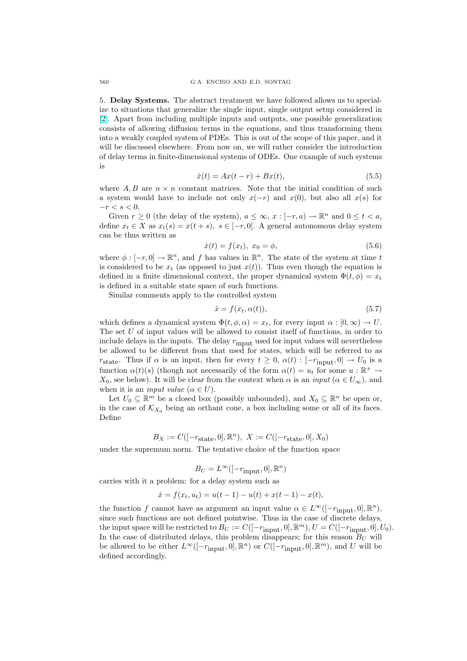<span id="page-11-0"></span>5. Delay Systems. The abstract treatment we have followed allows us to specialize to situations that generalize the single input, single output setup considered in [2]. Apart from including multiple inputs and outputs, one possible generalization consists of allowing diffusion terms in the equations, and thus transforming them into a weakly coupled system of PDEs. This is out of the scope of this paper, and it will be discussed elsewhere. From now on, we will rather consider the introduction [of](#page-27-0) delay terms in finite-dimensional systems of ODEs. One example of such systems is

$$
\dot{x}(t) = Ax(t - r) + Bx(t),
$$
\n(5.5)

where A, B are  $n \times n$  constant matrices. Note that the initial condition of such a system would have to include not only  $x(-r)$  and  $x(0)$ , but also all  $x(s)$  for  $-r < s < 0$ .

Given  $r \geq 0$  (the delay of the system),  $a \leq \infty$ ,  $x : [-r, a) \to \mathbb{R}^n$  and  $0 \leq t < a$ , define  $x_t \in X$  as  $x_t(s) = x(t+s)$ ,  $s \in [-r, 0]$ . A general autonomous delay system can be thus written as

$$
\dot{x}(t) = f(x_t), \ x_0 = \phi,\tag{5.6}
$$

where  $\phi : [-r, 0] \to \mathbb{R}^n$ , and f has values in  $\mathbb{R}^n$ . The state of the system at time t is considered to be  $x_t$  (as opposed to just  $x(t)$ ). Thus even though the equation is defined in a finite dimensional context, the proper dynamical system  $\Phi(t, \phi) = x_t$ is defined in a suitable state space of such functions.

Similar comments apply to the controlled system

$$
\dot{x} = f(x_t, \alpha(t)),\tag{5.7}
$$

which defines a dynamical system  $\Phi(t, \phi, \alpha) = x_t$ , for every input  $\alpha : [0, \infty) \to U$ . The set U of input values will be allowed to consist itself of functions, in order to include delays in the inputs. The delay  $r_{\rm input}$  used for input values will nevertheless be allowed to be different from that used for states, which will be referred to as rstate. Thus if  $\alpha$  is an input, then for every  $t \geq 0$ ,  $\alpha(t) : [-r_{\text{input}}, 0] \rightarrow U_0$  is a function  $\alpha(t)(s)$  (though not necessarily of the form  $\alpha(t) = u_t$  for some  $u : \mathbb{R}^+ \to$  $X_0$ , see below). It will be clear from the context when  $\alpha$  is an *input* ( $\alpha \in U_{\infty}$ ), and when it is an *input value* ( $\alpha \in U$ ).

Let  $U_0 \subseteq \mathbb{R}^m$  be a closed box (possibly unbounded), and  $X_0 \subseteq \mathbb{R}^n$  be open or, in the case of  $\mathcal{K}_{X_0}$  being an orthant cone, a box including some or all of its faces. Define

$$
B_X := C([-r_{\text{state}}, 0], \mathbb{R}^n), \ X := C([-r_{\text{state}}, 0], X_0)
$$

under the supremum norm. The tentative choice of the function space

$$
B_U = L^{\infty}([-r_{\mathrm{input}}, 0], \mathbb{R}^n)
$$

carries with it a problem: for a delay system such as

$$
\dot{x} = f(x_t, u_t) = u(t-1) - u(t) + x(t-1) - x(t),
$$

the function f cannot have as argument an input value  $\alpha \in L^{\infty}([-r_{\text{input}}, 0], \mathbb{R}^n)$ , since such functions are not defined pointwise. Thus in the case of discrete delays, the input space will be restricted to  $B_U := C([-r_{\text{input}}, 0], \mathbb{R}^m)$ ,  $U = C([-r_{\text{input}}, 0], U_0)$ . In the case of distributed delays, this problem disappears; for this reason  $B_U$  will be allowed to be either  $L^{\infty}([-r_{\text{input}}, 0], \mathbb{R}^n)$  or  $C([-r_{\text{input}}, 0], \mathbb{R}^m)$ , and U will be defined accordingly.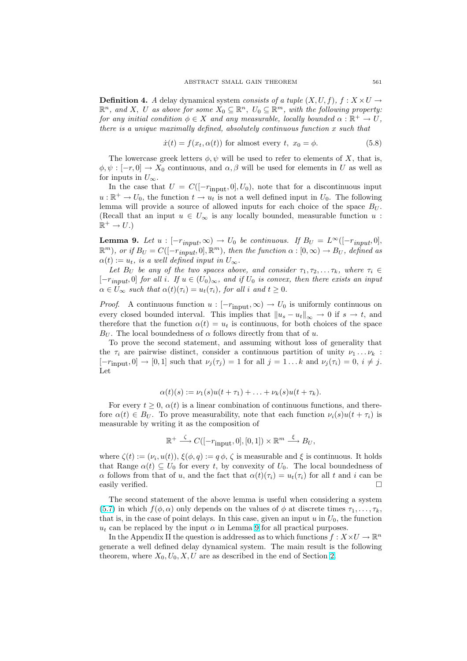<span id="page-12-0"></span>**Definition 4.** A delay dynamical system consists of a tuple  $(X, U, f)$ ,  $f : X \times U \rightarrow$  $\mathbb{R}^n$ , and X, U as above for some  $X_0 \subseteq \mathbb{R}^n$ ,  $U_0 \subseteq \mathbb{R}^m$ , with the following property: for any initial condition  $\phi \in X$  and any measurable, locally bounded  $\alpha : \mathbb{R}^+ \to U$ , there is a unique maximally defined, absolutely continuous function  $x$  such that

$$
\dot{x}(t) = f(x_t, \alpha(t))
$$
 for almost every t,  $x_0 = \phi$ . (5.8)

The lowercase greek letters  $\phi, \psi$  will be used to refer to elements of X, that is,  $\phi, \psi : [-r, 0] \to X_0$  continuous, and  $\alpha, \beta$  will be used for elements in U as well as for inputs in  $U_{\infty}$ .

In the case that  $U = C([-r_{\text{input}}, 0], U_0)$ , note that for a discontinuous input  $u:\mathbb{R}^+ \to U_0$ , the function  $t \to u_t$  is not a well defined input in  $U_0$ . The following lemma will provide a source of allowed inputs for each choice of the space  $B_U$ . (Recall that an input  $u \in U_{\infty}$  is any locally bounded, measurable function  $u$ :  $\mathbb{R}^+ \to U.$ 

**Lemma 9.** Let  $u : [-r_{input}, \infty) \to U_0$  be continuous. If  $B_U = L^{\infty}([-r_{input}, 0],$  $\mathbb{R}^m$ ), or if  $B_U = C([-r_{input}, 0], \mathbb{R}^m)$ , then the function  $\alpha : [0, \infty) \to B_U$ , defined as  $\alpha(t) := u_t$ , is a well defined input in  $U_{\infty}$ .

Let  $B_U$  be any of the two spaces above, and consider  $\tau_1, \tau_2, \ldots \tau_k$ , where  $\tau_i \in$  $[-r_{input}, 0]$  for all i. If  $u \in (U_0)_{\infty}$ , and if  $U_0$  is convex, then there exists an input  $\alpha \in \bar{U}_{\infty}$  such that  $\alpha(t)(\tau_i) = u_t(\tau_i)$ , for all i and  $t \geq 0$ .

*Proof.* A continuous function  $u : [-r_{\text{input}}, \infty) \to U_0$  is uniformly continuous on every closed bounded interval. This implies that  $||u_s - u_t||_{\infty} \to 0$  if  $s \to t$ , and therefore that the function  $\alpha(t) = u_t$  is continuous, for both choices of the space  $B_{U}$ . The local boundedness of  $\alpha$  follows directly from that of u.

To prove the second statement, and assuming without loss of generality that the  $\tau_i$  are pairwise distinct, consider a continuous partition of unity  $\nu_1 \ldots \nu_k$ :  $[-r_{\text{input}}, 0] \rightarrow [0, 1]$  such that  $\nu_j(\tau_j) = 1$  for all  $j = 1 \dots k$  and  $\nu_j(\tau_i) = 0, i \neq j$ . Let

$$
\alpha(t)(s) := \nu_1(s)u(t+\tau_1) + \ldots + \nu_k(s)u(t+\tau_k).
$$

For every  $t \geq 0$ ,  $\alpha(t)$  is a linear combination of continuous functions, and therefore  $\alpha(t) \in B_U$ . To prove measurability, note that each function  $\nu_i(s)u(t + \tau_i)$  is measurable by writing it as the composition of

$$
\mathbb{R}^+ \xrightarrow{\zeta} C([-r_{\text{input}}, 0], [0, 1]) \times \mathbb{R}^m \xrightarrow{\xi} B_U,
$$

where  $\zeta(t) := (\nu_i, u(t)), \xi(\phi, q) := q \phi, \zeta$  is measurable and  $\xi$  is continuous. It holds that Range  $\alpha(t) \subseteq U_0$  for every t, by convexity of  $U_0$ . The local boundedness of α follows from that of u, and the fact that  $\alpha(t)(\tau_i) = u_t(\tau_i)$  for all t and i can be easily verified.

The second statement of the above lemma is useful when considering a system (5.7) in which  $f(\phi, \alpha)$  only depends on the values of  $\phi$  at discrete times  $\tau_1, \ldots, \tau_k$ , that is, in the case of point delays. In this case, given an input  $u$  in  $U_0$ , the function  $u_t$  can be replaced by the input  $\alpha$  in Lemma 9 for all practical purposes.

In the Appendix II the question is addressed as to which functions  $f: X \times U \to \mathbb{R}^n$ [gene](#page-11-0)rate a well defined delay dynamical system. The main result is the following theorem, where  $X_0, U_0, X, U$  are as described in the end of Section 2.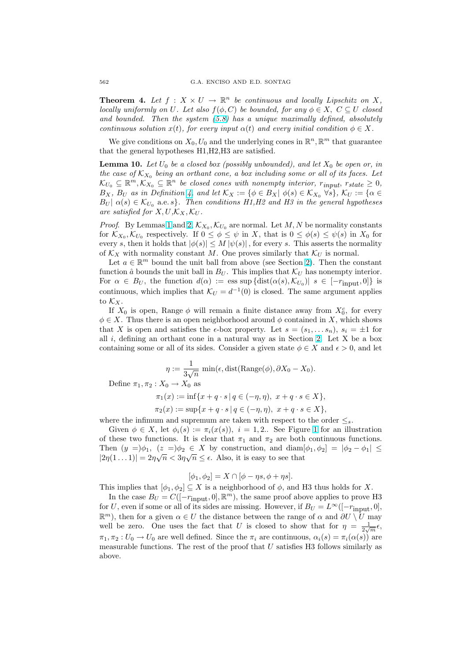<span id="page-13-0"></span>**Theorem 4.** Let  $f: X \times U \to \mathbb{R}^n$  be continuous and locally Lipschitz on X, locally uniformly on U. Let also  $f(\phi, C)$  be bounded, for any  $\phi \in X$ ,  $C \subseteq U$  closed and bounded. Then the system (5.8) has a unique maximally defined, absolutely continuous solution  $x(t)$ , for every input  $\alpha(t)$  and every initial condition  $\phi \in X$ .

We give conditions on  $X_0, U_0$  and the underlying cones in  $\mathbb{R}^n$ ,  $\mathbb{R}^m$  that guarantee that the general hypotheses H1,H2,H3 are satisfied.

**Lemma 10.** Let  $U_0$  be a closed b[ox \(p](#page-12-0)ossibly unbounded), and let  $X_0$  be open or, in the case of  $K_{X_0}$  being an orthant cone, a box including some or all of its faces. Let  $\mathcal{K}_{U_0} \subseteq \mathbb{R}^m, \mathcal{K}_{X_0} \subseteq \mathbb{R}^n$  be closed cones with nonempty interior,  $r_{input}, r_{state} \geq 0$ ,  $B_X$ ,  $B_U$  as in Definition 4, and let  $\mathcal{K}_X := \{ \phi \in B_X | \phi(s) \in \mathcal{K}_{X_0} \ \forall s \}, \ \mathcal{K}_U := \{ \alpha \in \mathcal{K}_{X_0} \}$  $B_U | \alpha(s) \in \mathcal{K}_{U_0}$  a.e.s}. Then conditions H1, H2 and H3 in the general hypotheses are satisfied for  $X, U, \mathcal{K}_X, \mathcal{K}_U$ .

*Proof.* By Lemmas 1 and 2,  $\mathcal{K}_{X_0}, \mathcal{K}_{U_0}$  are normal. Let M, N be normality constants for  $\mathcal{K}_{X_0}, \mathcal{K}_{U_0}$  respectively[.](#page-11-0) If  $0 \leq \phi \leq \psi$  in X, that is  $0 \leq \phi(s) \leq \psi(s)$  in  $X_0$  for every s, then it holds that  $|\phi(s)| \leq M |\psi(s)|$ , for every s. This asserts the normality of  $\mathcal{K}_X$  with normality constant M. One proves similarly that  $\mathcal{K}_U$  is normal.

Let  $a \in \mathbb{R}^m$  bou[nd](#page-2-0) the [u](#page-2-0)nit ball from above (see Section 2). Then the constant function  $\hat{a}$  bounds the unit ball in  $B_U$ . This implies that  $\mathcal{K}_U$  has nonempty interior. For  $\alpha \in B_U$ , the function  $d(\alpha) := \text{ess sup } \{ \text{dist}(\alpha(s), \mathcal{K}_{U_0}) | s \in [-r_{\text{input}}, 0] \}$  is continuous, which implies that  $\mathcal{K}_U = d^{-1}(0)$  is closed. The same argument applies to  $\mathcal{K}_X$ .

If  $X_0$  is open, Range  $\phi$  will remain a finite distance away from  $X_0^c$ , for every  $\phi \in X$ . Thus there is an open neighborhood around  $\phi$  contained in X, which shows that X is open and satisfies the  $\epsilon$ -box property. Let  $s = (s_1, \ldots s_n)$ ,  $s_i = \pm 1$  for all  $i$ , defining an orthant cone in a natural way as in Section 2. Let X be a box containing some or all of its sides. Consider a given state  $\phi \in X$  and  $\epsilon > 0$ , and let

$$
\eta := \frac{1}{3\sqrt{n}} \min(\epsilon, \text{dist}(\text{Range}(\phi), \partial X_0 - X_0).
$$

Define  $\pi_1, \pi_2 : X_0 \to X_0$  as

$$
\pi_1(x) := \inf\{x + q \cdot s \mid q \in (-\eta, \eta), \ x + q \cdot s \in X\},\
$$

$$
\pi_2(x) := \sup\{x + q \cdot s \mid q \in (-\eta, \eta), \ x + q \cdot s \in X\},\
$$

where the infimum and supremum are taken with respect to the order  $\leq_s$ .

Given  $\phi \in X$ , let  $\phi_i(s) := \pi_i(x(s)), i = 1, 2$ .. See Figure 1 for an illustration of these two functions. It is clear that  $\pi_1$  and  $\pi_2$  are both continuous functions. Then  $(y =)\phi_1$ ,  $(z =)\phi_2 \in X$  by construction, and  $\text{diam}[\phi_1, \phi_2] = |\phi_2 - \phi_1| \le$  $|2\eta(1\ldots 1)|=2\eta\sqrt{n}<3\eta\sqrt{n}\leq\epsilon$ . Also, it is easy to see that

$$
[\phi_1, \phi_2] = X \cap [\phi - \eta s, \phi + \eta s].
$$

This implies that  $[\phi_1, \phi_2] \subseteq X$  is a neighborhood of  $\phi$ , and H3 thus holds for X.

In the case  $B_U = C([-r_{\text{input}}, 0], \mathbb{R}^m)$ , the same proof above applies to prove H3 for U, even if some or all of its sides are missing. However, if  $B_U = L^{\infty}([-r_{\rm input}, 0],$  $\mathbb{R}^m$ ), then for a given  $\alpha \in U$  the distance between the range of  $\alpha$  and  $\partial U \setminus U$  may well be zero. One uses the fact that U is closed to show that for  $\eta = \frac{1}{2\sqrt{m}}\epsilon$ ,  $\pi_1, \pi_2 : U_0 \to U_0$  are well defined. Since the  $\pi_i$  are continuous,  $\alpha_i(s) = \pi_i(\alpha(s))$  are measurable functions. The rest of the proof that  $U$  satisfies H3 follows similarly as above.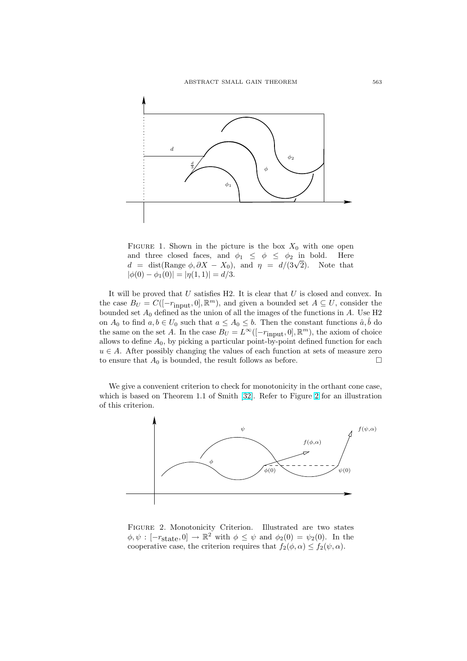<span id="page-14-0"></span>

FIGURE 1. Shown in the picture is the box  $X_0$  with one open and three closed faces, and  $\phi_1 \leq \phi \leq \phi_2$  in bold. Here and three closed faces, and  $\varphi_1 \leq \varphi \leq \varphi_2$  in bold. Here  $d = \text{dist}(\text{Range } \phi, \partial X - X_0)$ , and  $\eta = d/(3\sqrt{2})$ . Note that  $|\phi(0) - \phi_1(0)| = |\eta(1, 1)| = d/3.$ 

It will be proved that  $U$  satisfies H2. It is clear that  $U$  is closed and convex. In the case  $B_U = C([-r_{\text{input}}, 0], \mathbb{R}^m)$ , and given a bounded set  $A \subseteq U$ , consider the bounded set  $A_0$  defined as the union of all the images of the functions in A. Use H2 on  $A_0$  to find  $a, b \in U_0$  such that  $a \leq A_0 \leq b$ . Then the constant functions  $\hat{a}, \hat{b}$  do the same on the set A. In the case  $B_U = L^{\infty}([-r_{\text{input}}, 0], \mathbb{R}^m)$ , the axiom of choice allows to define  $A_0$ , by picking a particular point-by-point defined function for each  $u \in A$ . After possibly changing the values of each function at sets of measure zero to ensure that  $A_0$  is bounded, the result follows as before.  $\Box$ 

We give a convenient criterion to check for monotonicity in the orthant cone case, which is based on Theorem 1.1 of Smith [32]. Refer to Figure 2 for an illustration of this criterion.



Figure 2. Monotonicity Criterion. Illustrated are two states  $\phi, \psi : [-r_{\text{state}}, 0] \to \mathbb{R}^2$  with  $\phi \leq \psi$  and  $\phi_2(0) = \psi_2(0)$ . In the cooperative case, the criterion requires that  $f_2(\phi, \alpha) \le f_2(\psi, \alpha)$ .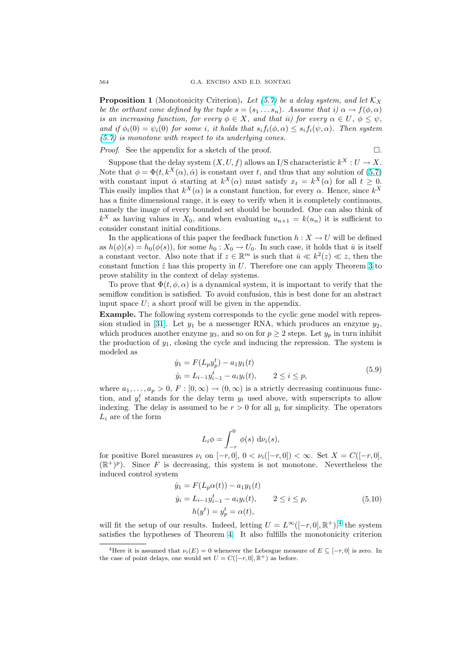<span id="page-15-0"></span>**Proposition 1** (Monotonicity Criterion). Let (5.7) be a delay system, and let  $\mathcal{K}_X$ be the orthant cone defined by the tuple  $s = (s_1 \dots s_n)$ . Assume that i)  $\alpha \rightarrow f(\phi, \alpha)$ is an increasing function, for every  $\phi \in X$ , and that ii) for every  $\alpha \in U$ ,  $\phi \leq \psi$ , and if  $\phi_i(0) = \psi_i(0)$  for some i, it holds that  $s_i f_i(\phi, \alpha) \leq s_i f_i(\psi, \alpha)$ . Then system (5.7) is monotone with respect to its underlying [con](#page-11-0)es.

*Proof.* See the appendix for a sketch of the proof.

$$
\Box.
$$

Suppose that the delay system  $(X, U, f)$  allows an I/S characteristic  $k^X : U \to X$ . Note that  $\phi = \Phi(t, k^X(\alpha), \hat{\alpha})$  is constant over t, and thus that any solution of (5.7) [with](#page-11-0) constant input  $\hat{\alpha}$  starting at  $k^X(\alpha)$  must satisfy  $x_t = k^X(\alpha)$  for all  $t \geq 0$ . This easily implies that  $k^X(\alpha)$  is a constant function, for every  $\alpha$ . Hence, since  $k^X$ has a finite dimensional range, it is easy to verify when it is completely continuous, namely the image of every bounded set should be bounded. One can also thi[nk of](#page-11-0)  $k^X$  as having values in  $X_0$ , and when evaluating  $u_{n+1} = k(u_n)$  it is sufficient to consider constant initial conditions.

In the applications of this paper the feedback function  $h: X \to U$  will be defined as  $h(\phi)(s) = h_0(\phi(s))$ , for some  $h_0: X_0 \to U_0$ . In such case, it holds that  $\bar{u}$  is itself a constant vector. Also note that if  $z \in \mathbb{R}^m$  is such that  $\bar{u} \ll k^2(z) \ll z$ , then the constant function  $\hat{z}$  has this property in U. Therefore one can apply Theorem 3 to prove stability in the context of delay systems.

To prove that  $\Phi(t, \phi, \alpha)$  is a dynamical system, it is important to verify that the semiflow condition is satisfied. To avoid confusion, this is best done for an abstract input space  $U$ ; a short proof will be given in the appendix.

Example. The following system corresponds to the cyclic gene model with repression studied in [31]. Let  $y_1$  be a messenger RNA, which produces an enzyme  $y_2$ , which produces another enzyme  $y_3$ , and so on for  $p \geq 2$  steps. Let  $y_p$  in turn inhibit the production of  $y_1$ , closing the cycle and inducing the repression. The system is modeled as

$$
\dot{y}_1 = F(L_p y_p^t) - a_1 y_1(t)
$$
  
\n
$$
\dot{y}_i = L_{i-1} y_{i-1}^t - a_i y_i(t), \qquad 2 \le i \le p,
$$
\n(5.9)

where  $a_1, \ldots, a_p > 0$ ,  $F : [0, \infty) \to (0, \infty)$  is a strictly decreasing continuous function, and  $y_i^t$  stands for the delay term  $y_t$  used above, with superscripts to allow indexing. The delay is assumed to be  $r > 0$  for all  $y_i$  for simplicity. The operators  $L_i$  are of the form

$$
L_i \phi = \int_{-r}^0 \phi(s) \, d\nu_i(s),
$$

for positive Borel measures  $\nu_i$  on  $[-r, 0], 0 < \nu_i([-r, 0]) < \infty$ . Set  $X = C([-r, 0],$  $(\mathbb{R}^+)^p$ ). Since F is decreasing, this system is not monotone. Nevertheless the induced control system

$$
\dot{y}_1 = F(L_p \alpha(t)) - a_1 y_1(t)
$$
  
\n
$$
\dot{y}_i = L_{i-1} y_{i-1}^t - a_i y_i(t), \qquad 2 \le i \le p,
$$
  
\n
$$
h(y^t) = y_p^t = \alpha(t),
$$
\n(5.10)

will fit the setup of our results. Indeed, letting  $U = L^{\infty}([-r, 0], \mathbb{R}^{+})$ ,<sup>4</sup> the system satisfies the hypotheses of Theorem 4. It also fulfills the monotonicity criterion

<sup>&</sup>lt;sup>4</sup>Here it is assumed that  $\nu_i(E) = 0$  whenever the Lebesgue measure of  $E \subseteq [-r, 0]$  is zero. In the case of point delays, one would set  $U = C([-r, 0], \mathbb{R}^+)$  as before.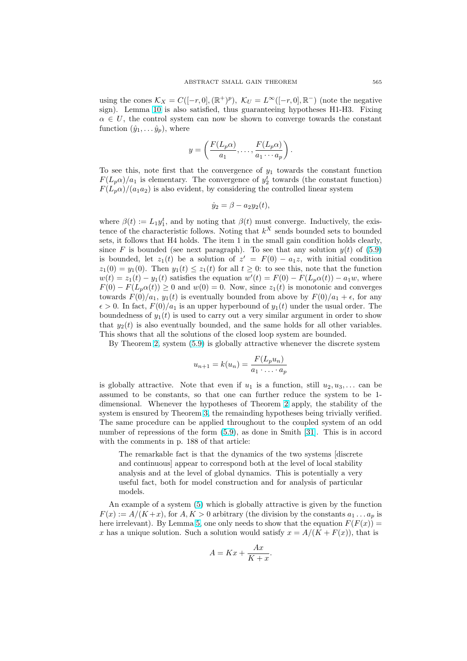using the cones  $\mathcal{K}_X = C([-r, 0], (\mathbb{R}^+)^p)$ ,  $\mathcal{K}_U = L^{\infty}([-r, 0], \mathbb{R}^-)$  (note the negative sign). Lemma 10 is also satisfied, thus guaranteeing hypotheses H1-H3. Fixing  $\alpha \in U$ , the control system can now be shown to converge towards the constant function  $(\hat{y}_1, \ldots \hat{y}_p)$ , where

$$
y = \left(\frac{F(L_p\alpha)}{a_1}, \dots, \frac{F(L_p\alpha)}{a_1 \cdots a_p}\right).
$$

To see this, note first that the convergence of  $y_1$  towards the constant function  $F(L_p\alpha)/a_1$  is elementary. The convergence of  $y_2^t$  towards (the constant function)  $F(L_p\alpha)/(a_1a_2)$  is also evident, by considering the controlled linear system

$$
\dot{y}_2 = \beta - a_2 y_2(t),
$$

where  $\beta(t) := L_1 y_1^t$ , and by noting that  $\beta(t)$  must converge. Inductively, the existence of the characteristic follows. Noting that  $k^X$  sends bounded sets to bounded sets, it follows that H4 holds. The item 1 in the small gain condition holds clearly, since F is bounded (see next paragraph). To see that any solution  $y(t)$  of (5.9) is bounded, let  $z_1(t)$  be a solution of  $z' = F(0) - a_1 z$ , with initial condition  $z_1(0) = y_1(0)$ . Then  $y_1(t) \leq z_1(t)$  for all  $t \geq 0$ : to see this, note that the function  $w(t) = z_1(t) - y_1(t)$  satisfies the equation  $w'(t) = F(0) - F(L_p \alpha(t)) - a_1 w$ , where  $F(0) - F(L_p \alpha(t)) \geq 0$  and  $w(0) = 0$ . Now, since  $z_1(t)$  is monotonic and conv[erges](#page-15-0) towards  $F(0)/a_1$ ,  $y_1(t)$  is eventually bounded from above by  $F(0)/a_1 + \epsilon$ , for any  $\epsilon > 0$ . In fact,  $F(0)/a_1$  is an upper hyperbound of  $y_1(t)$  under the usual order. The boundedness of  $y_1(t)$  is used to carry out a very similar argument in order to show that  $y_2(t)$  is also eventually bounded, and the same holds for all other variables. This shows that all the solutions of the closed loop system are bounded.

By Theorem 2, system (5.9) is globally attractive whenever the discrete system

$$
u_{n+1} = k(u_n) = \frac{F(L_p u_n)}{a_1 \cdot \ldots \cdot a_p}
$$

is globally attr[ac](#page-7-0)tive. No[te t](#page-15-0)hat even if  $u_1$  is a function, still  $u_2, u_3, \ldots$  can be assumed to be constants, so that one can further reduce the system to be 1 dimensional. Whenever the hypotheses of Theorem 2 apply, the stability of the system is ensured by Theorem 3, the remainding hypotheses being trivially verified. The same procedure can be applied throughout to the coupled system of an odd number of repressions of the form (5.9), as done in Smith [31]. This is in accord with the comments in p. 188 of that article:

The remarkable fact is t[ha](#page-9-0)t the dynamics of the two systems [discrete and continuous] appear to correspond both at the level of local stability analysis and at the level of gl[obal](#page-15-0) dynamics. This is [pote](#page-28-0)ntially a very useful fact, both for model construction and for analysis of particular models.

An example of a system (5) which is globally attractive is given by the function  $F(x) := A/(K+x)$ , for  $A, K > 0$  arbitrary (the division by the constants  $a_1 \dots a_p$  is here irrelevant). By Lemma 5, one only needs to show that the equation  $F(F(x)) =$ x has a unique solution. Such a solution would satisfy  $x = A/(K + F(x))$ , that is

$$
A = Kx + \frac{Ax}{K+x}.
$$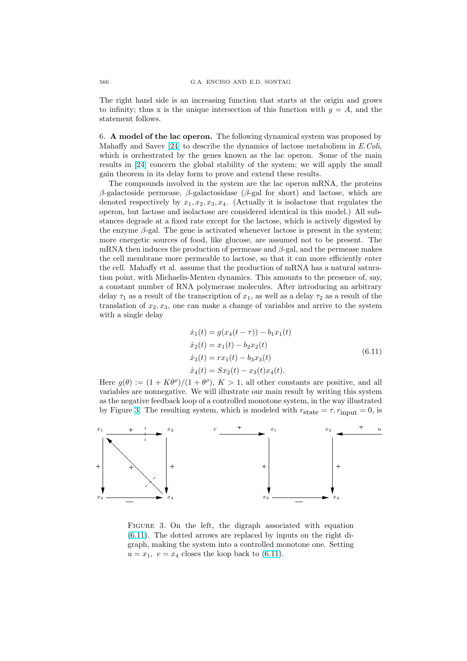<span id="page-17-0"></span>The right hand side is an increasing function that starts at the origin and grows to infinity; thus x is the unique intersection of this function with  $y = A$ , and the statement follows.

6. A model of the lac operon. The following dynamical system was proposed by Mahaffy and Savev [24] to describe the dynamics of lactose metabolism in  $E. Coli$ , which is orchestrated by the genes known as the lac operon. Some of the main results in [24] concern the global stability of the system; we will apply the small gain theorem in its delay form to prove and extend these results.

The compounds i[nvo](#page-28-0)lved in the system are the lac operon mRNA, the proteins β-galactoside permease, β-galactosidase (β-gal for short) and lactose, which are denoted r[espe](#page-28-0)ctively by  $x_1, x_2, x_3, x_4$ . (Actually it is isolactose that regulates the operon, but lactose and isolactose are considered identical in this model.) All substances degrade at a fixed rate except for the lactose, which is actively digested by the enzyme  $\beta$ -gal. The gene is activated whenever lactose is present in the system; more energetic sources of food, like glucose, are assumed not to be present. The mRNA then induces the production of permease and  $\beta$ -gal, and the permease makes the cell membrane more permeable to lactose, so that it can more efficiently enter the cell. Mahaffy et al. assume that the production of mRNA has a natural saturation point, with Michaelis-Menten dynamics. This amounts to the presence of, say, a constant number of RNA polymerase molecules. After introducing an arbitrary delay  $\tau_1$  as a result of the transcription of  $x_1$ , as well as a delay  $\tau_2$  as a result of the translation of  $x_2, x_3$ , one can make a change of variables and arrive to the system with a single delay

$$
\begin{aligned}\n\dot{x}_1(t) &= g(x_4(t-\tau)) - b_1 x_1(t) \\
\dot{x}_2(t) &= x_1(t) - b_2 x_2(t) \\
\dot{x}_3(t) &= r x_1(t) - b_3 x_3(t) \\
\dot{x}_4(t) &= S x_2(t) - x_3(t) x_4(t).\n\end{aligned} \tag{6.11}
$$

Here  $g(\theta) := (1 + K\theta^{\rho})/(1 + \theta^{\rho}), K > 1$ , all other constants are positive, and all variables are nonnegative. We will illustrate our main result by writing this system as the negative feedback loop of a controlled monotone system, in the way illustrated by Figure 3. The resulting system, which is modeled with  $r_{state} = \tau, r_{input} = 0$ , is



FIGURE 3. On the left, the digraph associated with equation (6.11). The dotted arrows are replaced by inputs on the right digraph, making the system into a controlled monotone one. Setting  $u = x_1, v = x_4$  closes the loop back to (6.11).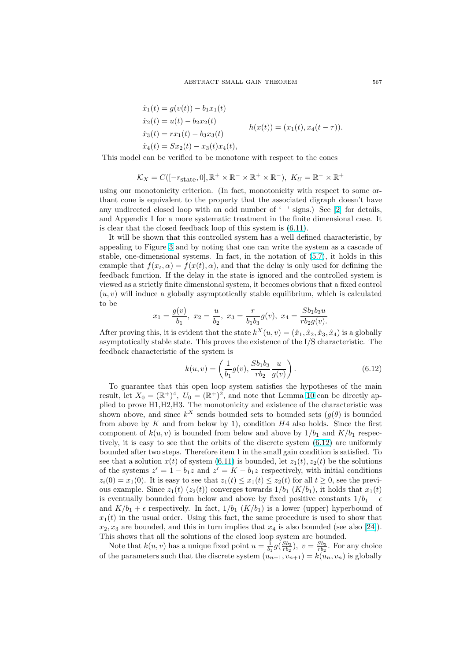$$
\begin{aligned}\n\dot{x}_1(t) &= g(v(t)) - b_1 x_1(t) \\
\dot{x}_2(t) &= u(t) - b_2 x_2(t) \\
\dot{x}_3(t) &= r x_1(t) - b_3 x_3(t) \\
\dot{x}_4(t) &= S x_2(t) - x_3(t) x_4(t),\n\end{aligned}
$$
\n
$$
h(x(t)) = (x_1(t), x_4(t - \tau)).
$$

<span id="page-18-0"></span>This model can be verified to be monotone with respect to the cones

$$
\mathcal{K}_X = C([-r_{\text{state}}, 0], \mathbb{R}^+ \times \mathbb{R}^- \times \mathbb{R}^+ \times \mathbb{R}^-), \ K_U = \mathbb{R}^- \times \mathbb{R}^+
$$

using our monotonicity criterion. (In fact, monotonicity with respect to some orthant cone is equivalent to the property that the associated digraph doesn't have any undirected closed loop with an odd number of '−' signs.) See [2] for details, and Appendix I for a more systematic treatment in the finite dimensional case. It is clear that the closed feedback loop of this system is (6.11).

It will be shown that this controlled system has a well defined characteristic, by appealing to Figure 3 and by noting that one can write the system a[s](#page-27-0) a cascade of stable, one-dimensional systems. In fact, in the notation of (5.7), it holds in this example that  $f(x_t, \alpha) = f(x(t), \alpha)$ , and that the delay [is onl](#page-17-0)y used for defining the feedback function. If the delay in the state is ignored and the controlled system is viewed as a strictly [fini](#page-17-0)te dimensional system, it becomes obvious that a fixed control  $(u, v)$  will induce a globally asymptotically stable equilibrium[, wh](#page-11-0)ich is calculated to be

$$
x_1 = \frac{g(v)}{b_1}
$$
,  $x_2 = \frac{u}{b_2}$ ,  $x_3 = \frac{r}{b_1 b_3} g(v)$ ,  $x_4 = \frac{Sb_1 b_3 u}{r b_2 g(v)}$ .

After proving this, it is evident that the state  $k^{X}(u, v) = (\hat{x}_1, \hat{x}_2, \hat{x}_3, \hat{x}_4)$  is a globally asymptotically stable state. This proves the existence of the I/S characteristic. The feedback characteristic of the system is

$$
k(u, v) = \left(\frac{1}{b_1}g(v), \frac{Sb_1b_3}{rb_2} \frac{u}{g(v)}\right).
$$
 (6.12)

To guarantee that this open loop system satisfies the hypotheses of the main result, let  $X_0 = (\mathbb{R}^+)^4$ ,  $U_0 = (\mathbb{R}^+)^2$ , and note that Lemma 10 can be directly applied to prove H1,H2,H3. The monotonicity and existence of the characteristic was shown above, and since  $k^X$  sends bounded sets to bounded sets  $(g(\theta))$  is bounded from above by  $K$  and from below by 1), condition  $H4$  also holds. Since the first component of  $k(u, v)$  is bounded from below and above by  $1/b_1$  $1/b_1$  $1/b_1$  and  $K/b_1$  respectively, it is easy to see that the orbits of the discrete system (6.12) are uniformly bounded after two steps. Therefore item 1 in the small gain condition is satisfied. To see that a solution  $x(t)$  of system (6.11) is bounded, let  $z_1(t), z_2(t)$  be the solutions of the systems  $z' = 1 - b_1 z$  and  $z' = K - b_1 z$  respectively, with initial conditions  $z_i(0) = x_1(0)$ . It is easy to see that  $z_1(t) \leq x_1(t) \leq z_2(t)$  for all  $t \geq 0$ , see the previous example. Since  $z_1(t)$  ( $z_2(t)$ ) converges towards  $1/b_1$  ( $K/b_1$ ), it holds that  $x_1(t)$ is eventually bounded from below [and](#page-17-0) above by fixed positive constants  $1/b_1 - \epsilon$ and  $K/b_1 + \epsilon$  respectively. In fact,  $1/b_1$   $(K/b_1)$  is a lower (upper) hyperbound of  $x_1(t)$  in the usual order. Using this fact, the same procedure is used to show that  $x_2, x_3$  are bounded, and this in turn implies that  $x_4$  is also bounded (see also [24]). This shows that all the solutions of the closed loop system are bounded.

Note that  $k(u, v)$  has a unique fixed point  $u = \frac{1}{b_1} g(\frac{Sb_3}{rb_2}), v = \frac{Sb_3}{rb_2}$ . For any choice of the parameters such that the discrete system  $(u_{n+1}, v_{n+1}) = k(u_n, v_n)$  is globally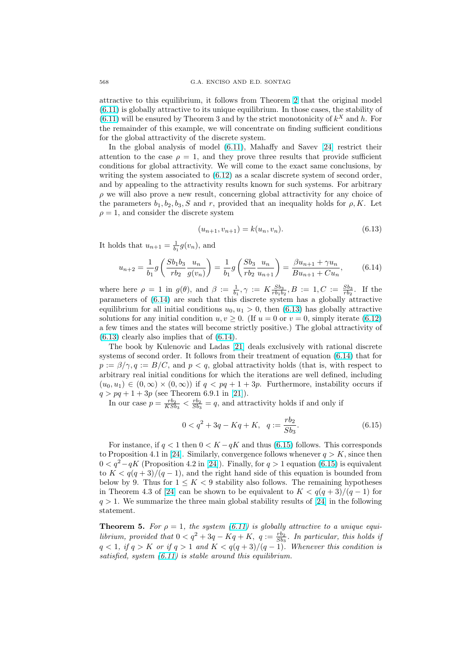<span id="page-19-0"></span>attractive to this equilibrium, it follows from Theorem 2 that the original model (6.11) is globally attractive to its unique equilibrium. In those cases, the stability of  $(6.11)$  will be ensured by Theorem 3 and by the strict monotonicity of  $k^X$  and h. For the remainder of this example, we will concentrate on finding sufficient conditions for the global attractivity of the discrete system.

[In](#page-17-0) the global analysis of model (6.11), Mahaffy and Savev [24] restrict their [atten](#page-17-0)tion to the case  $\rho = 1$ , and they prove three results that provide sufficient conditions for global attractivity. We will come to the exact same conclusions, by writing the system associated to (6.12) as a scalar discrete system of second order, and by appealing to the attractivity [result](#page-17-0)s known for such syste[ms.](#page-28-0) For arbitrary  $\rho$  we will also prove a new result, concerning global attractivity for any choice of the parameters  $b_1, b_2, b_3, S$  and r, provided that an inequality holds for  $\rho, K$ . Let  $\rho = 1$ , and consider the discrete s[ystem](#page-18-0)

$$
(u_{n+1}, v_{n+1}) = k(u_n, v_n). \tag{6.13}
$$

It holds that  $u_{n+1} = \frac{1}{b_1} g(v_n)$ , and

$$
u_{n+2} = \frac{1}{b_1} g\left(\frac{Sb_1 b_3}{rb_2} \frac{u_n}{g(v_n)}\right) = \frac{1}{b_1} g\left(\frac{Sb_3}{rb_2} \frac{u_n}{u_{n+1}}\right) = \frac{\beta u_{n+1} + \gamma u_n}{Bu_{n+1} + Cu_n},\tag{6.14}
$$

where here  $\rho = 1$  in  $g(\theta)$ , and  $\beta := \frac{1}{b_1}, \gamma := K \frac{Sb_3}{rb_1b_2}, B := 1, C := \frac{Sb_3}{rb_2}$ . If the parameters of (6.14) are such that this discrete system has a globally attractive equilibrium for all initial conditions  $u_0, u_1 > 0$ , then (6.13) has globally attractive solutions for any initial condition  $u, v \ge 0$ . (If  $u = 0$  or  $v = 0$ , simply iterate (6.12) a few times and the states will become strictly positive.) The global attractivity of  $(6.13)$  clearly also implies that of  $(6.14)$ .

The book by Kulenovic and Ladas [21] deals exclusively with rational discrete systems of second order. It follows from their treatment of equation (6.14) th[at for](#page-18-0)  $p := \beta/\gamma, q := B/C$ , and  $p < q$ , global attractivity holds (that is, with respect to arbitrary real initial conditions for which the iterations are well defined, including  $(u_0, u_1) \in (0, \infty) \times (0, \infty)$  if  $q < pq + 1 + 3p$  $q < pq + 1 + 3p$  $q < pq + 1 + 3p$ . Furthermore, instability occurs if  $q > pq + 1 + 3p$  (see Theorem 6.9.1 in [21]).

In our case  $p = \frac{rb_2}{KSb_3} < \frac{rb_2}{Sb_3} = q$ , and attractivity holds if and only if

$$
0 < q^2 + 3q - Kq + K, \quad q := \frac{rb_2}{Sb_3}.
$$
\n(6.15)

For instance, if  $q < 1$  then  $0 < K - qK$  and thus (6.15) follows. This corresponds to Proposition 4.1 in [24]. Similarly, convergence follows whenever  $q > K$ , since then  $0 < q^2 - qK$  (Proposition 4.2 in [24]). Finally, for  $q > 1$  equation (6.15) is equivalent to  $K < q(q+3)/(q-1)$ , and the right hand side of this equation is bounded from below by 9. Thus for  $1 \leq K < 9$  stability also follows. The remaining hypotheses in Theorem 4.3 of [2[4\] c](#page-28-0)an be shown to be equivalent to  $K < q(q+3)/(q-1)$  for  $q > 1$ . We summarize the three [ma](#page-28-0)in global stability results of [24] in the following statement.

**Theorem 5.** For  $\rho = 1$ , the system (6.11) is globally attractive to a unique equilibrium, provided t[hat](#page-28-0)  $0 < q^2 + 3q - Kq + K$ ,  $q := \frac{rb_2}{Sb_3}$ . In par[ticu](#page-28-0)lar, this holds if  $q < 1$ , if  $q > K$  or if  $q > 1$  and  $K < q(q+3)/(q-1)$ . Whenever this condition is satisfied, system  $(6.11)$  is stable around this equilibrium.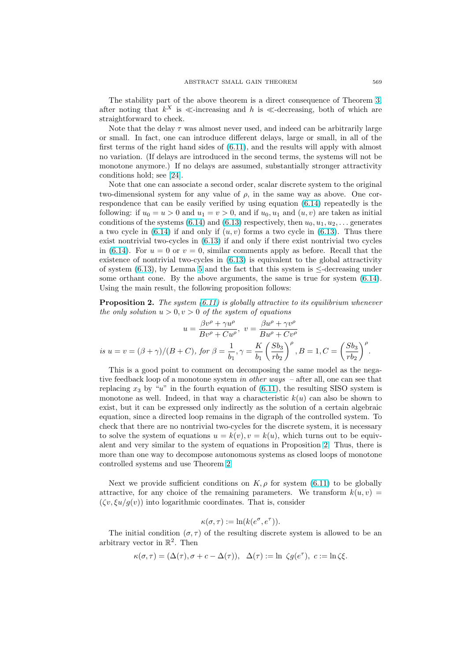The stability part of the above theorem is a direct consequence of Theorem 3, after noting that  $k^X$  is  $\ll$ -increasing and h is  $\ll$ -decreasing, both of which are straightforward to check.

Note that the delay  $\tau$  was almost never used, and indeed can be arbitrarily large or small. In fact, one can introduce different delays, large or small, in all of t[he](#page-9-0) first terms of the right hand sides of (6.11), and the results will apply with almost no variation. (If delays are introduced in the second terms, the systems will not be monotone anymore.) If no delays are assumed, substantially stronger attractivity conditions hold; see [24].

Note that one can associate a seco[nd ord](#page-17-0)er, scalar discrete system to the original two-dimensional system for any value of  $\rho$ , in the same way as above. One correspondence that can be easily verified by using equation (6.14) repeatedly is the following: if  $u_0 = u > 0$  $u_0 = u > 0$  $u_0 = u > 0$  and  $u_1 = v > 0$ , and if  $u_0, u_1$  and  $(u, v)$  are taken as initial conditions of the systems (6.14) and (6.13) respectively, then  $u_0, u_1, u_2, \ldots$  generates a two cycle in  $(6.14)$  if and only if  $(u, v)$  forms a two cycle in  $(6.13)$ . Thus there exist nontrivial two-cycles in (6.13) if and only if there exi[st no](#page-19-0)ntrivial two cycles in (6.14). For  $u = 0$  or  $v = 0$ , similar comments apply as before. Recall that the existence of nontrivial tw[o-cyc](#page-19-0)les in [\(6.13](#page-19-0)) is equivalent to the global attractivity of system  $(6.13)$ , by Lemma 5 and the fact that this system is  $\leq$ [-dec](#page-19-0)reasing under some orthant cone. By the a[bove](#page-19-0) arguments, the same is true for system (6.14). Usi[ng th](#page-19-0)e main result, the following proposition follows:

**Proposition 2.** The system  $(6.11)$  is [globa](#page-19-0)lly attractive to its equilibrium whenever the only so[lution](#page-19-0)  $u > 0, v > 0$  $u > 0, v > 0$  $u > 0, v > 0$  of the system of equations

$$
u = \frac{\beta v^{\rho} + \gamma u^{\rho}}{B v^{\rho} + C u^{\rho}}, \ v = \frac{\beta u^{\rho} + \gamma v^{\rho}}{B u^{\rho} + C v^{\rho}}
$$
  
is  $u = v = (\beta + \gamma)/(B + C)$ , for  $\beta = \frac{1}{b_1}, \gamma = \frac{K}{b_1} \left(\frac{S b_3}{r b_2}\right)^{\rho}, B = 1, C = \left(\frac{S b_3}{r b_2}\right)^{\rho}.$ 

This is a good point to comment on decomposing the same model as the negative feedback loop of a monotone system in other ways – after all, one can see that replacing  $x_3$  by "u" in the fourth equation of (6.11), the resulting SISO system is monotone as well. Indeed, in that way a characteristic  $k(u)$  can also be shown to exist, but it can be expressed only indirectly as the solution of a certain algebraic equation, since a directed loop remains in the digraph of the controlled system. To check that there are no nontrivial two-cycles fo[r the](#page-17-0) discrete system, it is necessary to solve the system of equations  $u = k(v)$ ,  $v = k(u)$ , which turns out to be equivalent and very similar to the system of equations in Proposition 2. Thus, there is more than one way to decompose autonomous systems as closed loops of monotone controlled systems and use Theorem 2.

Next we provide sufficient conditions on  $K, \rho$  for system (6.11) to be globally attractive, for any choice of the remaining parameters. We transform  $k(u, v)$  =  $(\zeta v, \xi u/g(v))$  into logarithmic coordi[na](#page-7-0)tes. That is, consider

$$
\kappa(\sigma,\tau) := \ln(k(e^{\sigma},e^{\tau})).
$$

The initial condition  $(\sigma, \tau)$  of the resulting discrete system is allowed to be an arbitrary vector in  $\mathbb{R}^2$ . Then

$$
\kappa(\sigma,\tau) = (\Delta(\tau), \sigma + c - \Delta(\tau)), \quad \Delta(\tau) := \ln \zeta g(e^{\tau}), \quad c := \ln \zeta \xi.
$$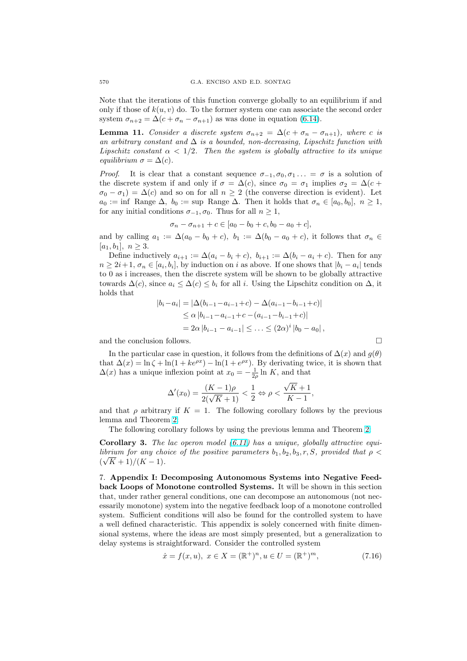Note that the iterations of this function converge globally to an equilibrium if and only if those of  $k(u, v)$  do. To the former system one can associate the second order system  $\sigma_{n+2} = \Delta(c + \sigma_n - \sigma_{n+1})$  as was done in equation (6.14).

**Lemma 11.** Consider a discrete system  $\sigma_{n+2} = \Delta(c + \sigma_n - \sigma_{n+1})$ , where c is an arbitrary constant and  $\Delta$  is a bounded, non-decreasing, Lipschitz function with Lipschitz constant  $\alpha < 1/2$ . Then the system is globally [attra](#page-19-0)ctive to its unique equilibrium  $\sigma = \Delta(c)$ .

*Proof.* It is clear that a constant sequence  $\sigma_{-1}, \sigma_0, \sigma_1 \ldots = \sigma$  is a solution of the discrete system if and only if  $\sigma = \Delta(c)$ , since  $\sigma_0 = \sigma_1$  implies  $\sigma_2 = \Delta(c +$  $\sigma_0 - \sigma_1$ ) =  $\Delta(c)$  and so on for all  $n \geq 2$  (the converse direction is evident). Let  $a_0 := \inf \text{ Range } \Delta, b_0 := \sup \text{ Range } \Delta. \text{ Then it holds that } \sigma_n \in [a_0, b_0], n \geq 1,$ for any initial conditions  $\sigma_{-1}, \sigma_0$ . Thus for all  $n \geq 1$ ,

$$
\sigma_n - \sigma_{n+1} + c \in [a_0 - b_0 + c, b_0 - a_0 + c],
$$

and by calling  $a_1 := \Delta(a_0 - b_0 + c)$ ,  $b_1 := \Delta(b_0 - a_0 + c)$ , it follows that  $\sigma_n \in$  $[a_1, b_1], n \geq 3.$ 

Define inductively  $a_{i+1} := \Delta(a_i - b_i + c)$ ,  $b_{i+1} := \Delta(b_i - a_i + c)$ . Then for any  $n \geq 2i+1, \sigma_n \in [a_i, b_i],$  by induction on i as above. If one shows that  $|b_i - a_i|$  tends to 0 as i increases, then the discrete system will be shown to be globally attractive towards  $\Delta(c)$ , since  $a_i \leq \Delta(c) \leq b_i$  for all i. Using the Lipschitz condition on  $\Delta$ , it holds that

$$
|b_i - a_i| = |\Delta(b_{i-1} - a_{i-1} + c) - \Delta(a_{i-1} - b_{i-1} + c)|
$$
  
\n
$$
\leq \alpha |b_{i-1} - a_{i-1} + c - (a_{i-1} - b_{i-1} + c)|
$$
  
\n
$$
= 2\alpha |b_{i-1} - a_{i-1}| \leq \ldots \leq (2\alpha)^i |b_0 - a_0|,
$$

and the conclusion follows.  $\Box$ 

In the particular case in question, it follows from the definitions of  $\Delta(x)$  and  $g(\theta)$ that  $\Delta(x) = \ln \zeta + \ln(1 + ke^{\rho x}) - \ln(1 + e^{\rho x})$ . By derivating twice, it is shown that  $\Delta(x)$  has a unique inflexion point at  $x_0 = -\frac{1}{2\rho} \ln K$ , and that

$$
\Delta'(x_0) = \frac{(K-1)\rho}{2(\sqrt{K}+1)} < \frac{1}{2} \Leftrightarrow \rho < \frac{\sqrt{K}+1}{K-1},
$$

and that  $\rho$  arbitrary if  $K = 1$ . The following corollary follows by the previous lemma and Theorem 2:

The following corollary follows by using the previous lemma and Theorem 2:

**Corollary 3.** The lac operon model  $(6.11)$  has a unique, globally attractive equilibrium for any choice of the positive parameters  $b_1, b_2, b_3, r, S$ , provided that  $\rho <$  $(\sqrt{K}+1)/(K-1).$ 

7. Appendix I: Decomposing Aut[onom](#page-17-0)ous Systems into Negative Feedback Loops of Monotone controlled Systems. It will be shown in this section that, under rather general conditions, one can decompose an autonomous (not necessarily monotone) system into the negative feedback loop of a monotone controlled system. Sufficient conditions will also be found for the controlled system to have a well defined characteristic. This appendix is solely concerned with finite dimensional systems, where the ideas are most simply presented, but a generalization to delay systems is straightforward. Consider the controlled system

$$
\dot{x} = f(x, u), \ x \in X = (\mathbb{R}^+)^n, u \in U = (\mathbb{R}^+)^m,
$$
\n(7.16)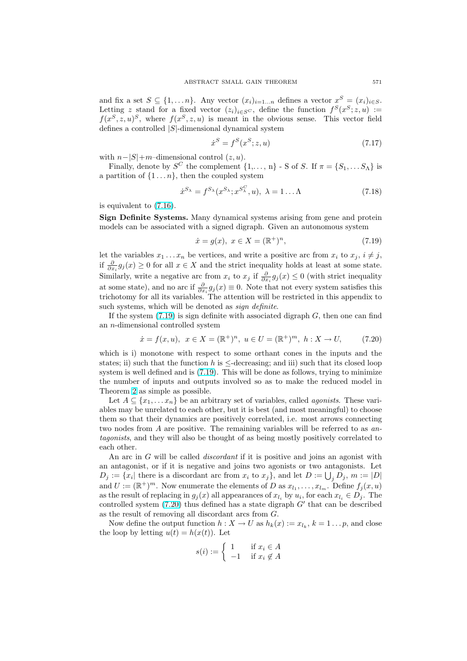<span id="page-22-0"></span>and fix a set  $S \subseteq \{1, \ldots n\}$ . Any vector  $(x_i)_{i=1...n}$  defines a vector  $x^S = (x_i)_{i \in S}$ . Letting z stand for a fixed vector  $(z_i)_{i \in S^C}$ , define the function  $f^S(x^S; z, u) :=$  $f(x^S, z, u)^S$ , where  $f(x^S, z, u)$  is meant in the obvious sense. This vector field defines a controlled |S|-dimensional dynamical system

$$
\dot{x}^S = f^S(x^S; z, u) \tag{7.17}
$$

with  $n-|S|+m$ –dimensional control  $(z, u)$ .

Finally, denote by  $S^C$  the complement  $\{1,\ldots,n\}$  - S of S. If  $\pi = \{S_1,\ldots S_\Lambda\}$  is a partition of  $\{1 \dots n\}$ , then the coupled system

$$
\dot{x}^{S_{\lambda}} = f^{S_{\lambda}}(x^{S_{\lambda}}; x^{S_{\lambda}^{C}}, u), \ \lambda = 1 \dots \Lambda \tag{7.18}
$$

is equivalent to (7.16).

Sign Definite Systems. Many dynamical systems arising from gene and protein models can be associated with a signed digraph. Given an autonomous system

$$
\dot{x} = g(x), \ x \in X = (\mathbb{R}^+)^n,\tag{7.19}
$$

let the variables  $x_1 \ldots x_n$  be vertices, and write a positive arc from  $x_i$  to  $x_j$ ,  $i \neq j$ , if  $\frac{\partial}{\partial x_i} g_j(x) \ge 0$  for all  $x \in X$  and the strict inequality holds at least at some state. Similarly, write a negative arc from  $x_i$  to  $x_j$  if  $\frac{\partial}{\partial x_i} g_j(x) \leq 0$  (with strict inequality at some state), and no arc if  $\frac{\partial}{\partial x_i} g_j(x) \equiv 0$ . Note that not every system satisfies this trichotomy for all its variables. The attention will be restricted in this appendix to such systems, which will be denoted as *sign definite*.

If the system  $(7.19)$  is sign definite with associated digraph  $G$ , then one can find an n-dimensional controlled system

$$
\dot{x} = f(x, u), \ \ x \in X = (\mathbb{R}^+)^n, \ u \in U = (\mathbb{R}^+)^m, \ h : X \to U,
$$
 (7.20)

which is i) monotone with respect to some orthant cones in the inputs and the states; ii) such that the function h is  $\leq$ -decreasing; and iii) such that its closed loop system is well defined and is (7.19). This will be done as follows, trying to minimize the number of inputs and outputs involved so as to make the reduced model in Theorem 2 as simple as possible.

Let  $A \subseteq \{x_1, \ldots x_n\}$  be an arbitrary set of variables, called *agonists*. These variables may be unrelated to each other, but it is best (and most meaningful) to choose them so that their dynamics are positively correlated, i.e. most arrows connecting two node[s f](#page-7-0)rom A are positive. The remaining variables will be referred to as antagonists, and they will also be thought of as being mostly positively correlated to each other.

An arc in G will be called *discordant* if it is positive and joins an agonist with an antagonist, or if it is negative and joins two agonists or two antagonists. Let an antagonist, or in it is negative and joins two agonists or two antagonists. Let  $D_j := \{x_i | \text{ there is a discordant arc from } x_i \text{ to } x_j\}$ , and let  $D := \bigcup_j D_j$ ,  $m := |D|$ and  $U := (\mathbb{R}^+)^m$ . Now enumerate the elements of D as  $x_{l_1}, \ldots, x_{l_m}$ . Define  $f_j(x, u)$ as the result of replacing in  $g_j(x)$  all appearances of  $x_{l_i}$  by  $u_i$ , for each  $x_{l_i} \in D_j$ . The controlled system  $(7.20)$  thus defined has a state digraph  $G'$  that can be described as the result of removing all discordant arcs from G.

Now define the output function  $h: X \to U$  as  $h_k(x) := x_{l_k}, k = 1 \dots p$ , and close the loop by letting  $u(t) = h(x(t))$ . Let

$$
s(i) := \begin{cases} 1 & \text{if } x_i \in A \\ -1 & \text{if } x_i \notin A \end{cases}
$$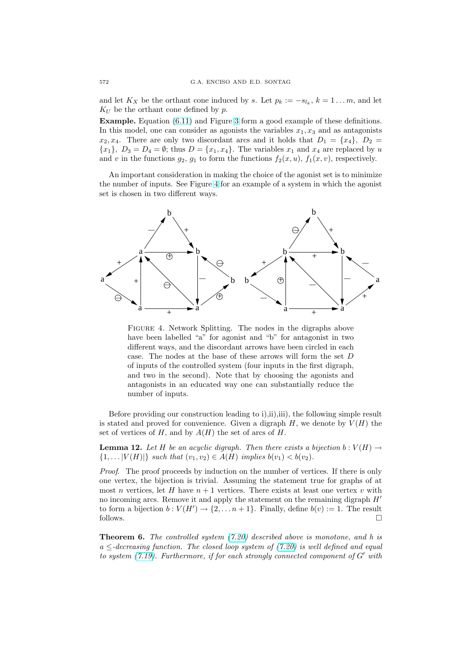<span id="page-23-0"></span>and let  $K_X$  be the orthant cone induced by s. Let  $p_k := -s_{l_k}, k = 1...m$ , and let  $K_U$  be the orthant cone defined by p.

Example. Equation (6.11) and Figure 3 form a good example of these definitions. In this model, one can consider as agonists the variables  $x_1, x_3$  and as antagonists  $x_2, x_4$ . There are only two discordant arcs and it holds that  $D_1 = \{x_4\}, D_2 =$  ${x_1}, D_3 = D_4 = \emptyset$ ; thus  $D = {x_1, x_4}$ . The variables  $x_1$  and  $x_4$  are replaced by u and v in t[he](#page-17-0) functions  $g_2$  $g_2$ ,  $g_1$  to form the functions  $f_2(x, u)$ ,  $f_1(x, v)$ , respectively.

An important consideration in making the choice of the agonist set is to minimize the number of inputs. See Figure 4 for an example of a system in which the agonist set is chosen in two different ways.



Figure 4. Network Splitting. The nodes in the digraphs above have been labelled "a" for agonist and "b" for antagonist in two different ways, and the discordant arrows have been circled in each case. The nodes at the base of these arrows will form the set D of inputs of the controlled system (four inputs in the first digraph, and two in the second). Note that by choosing the agonists and antagonists in an educated way one can substantially reduce the number of inputs.

Before providing our construction leading to i),ii),iii), the following simple result is stated and proved for convenience. Given a digraph  $H$ , we denote by  $V(H)$  the set of vertices of H, and by  $A(H)$  the set of arcs of H.

**Lemma 12.** Let H be an acyclic digraph. Then there exists a bijection  $b: V(H) \rightarrow$  $\{1, \ldots |V(H)|\}$  such that  $(v_1, v_2) \in A(H)$  implies  $b(v_1) < b(v_2)$ .

Proof. The proof proceeds by induction on the number of vertices. If there is only one vertex, the bijection is trivial. Assuming the statement true for graphs of at most n vertices, let H have  $n + 1$  vertices. There exists at least one vertex v with no incoming arcs. Remove it and apply the statement on the remaining digraph  $H'$ to form a bijection  $b: V(H') \to \{2, ..., n+1\}$ . Finally, define  $b(v) := 1$ . The result follows.  $\Box$ 

**Theorem 6.** The controlled system  $(7.20)$  described above is monotone, and h is  $a \leq$ -decreasing function. The closed loop system of (7.20) is well defined and equal to system  $(7.19)$ . Furthermore, if for each strongly connected component of G' with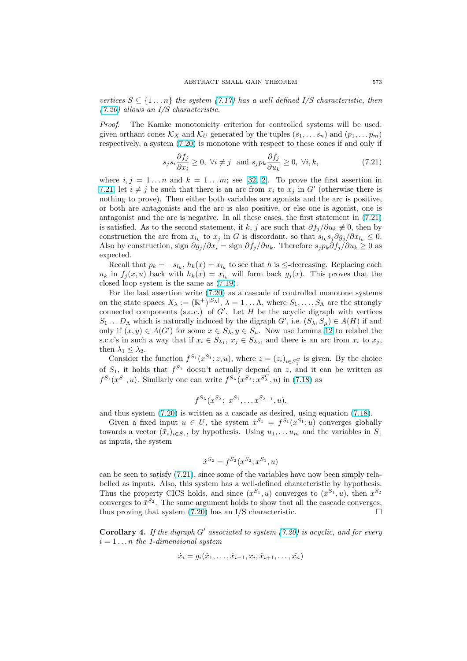vertices  $S \subseteq \{1 \dots n\}$  the system (7.17) has a well defined I/S characteristic, then (7.20) allows an I/S characteristic.

Proof. The Kamke monotonicity criterion for controlled systems will be used: given orthant cones  $\mathcal{K}_X$  and  $\mathcal{K}_U$  generated by the tuples  $(s_1, \ldots s_n)$  and  $(p_1, \ldots p_m)$ [respec](#page-22-0)tively, a system (7.20) is m[onoton](#page-22-0)e with respect to these cones if and only if

$$
s_j s_i \frac{\partial f_j}{\partial x_i} \ge 0, \ \forall i \ne j \ \text{ and } s_j p_k \frac{\partial f_j}{\partial u_k} \ge 0, \ \forall i, k,
$$
 (7.21)

where  $i, j = 1...n$  a[nd](#page-22-0)  $k = 1...m$ ; see [32, 2]. To prove the first assertion in 7.21, let  $i \neq j$  be such that there is an arc from  $x_i$  to  $x_j$  in G' (otherwise there is nothing to prove). Then either both variables are agonists and the arc is positive, or both are antagonists and the arc is also positive, or else one is agonist, one is antagonist and the arc is negative. In all t[hes](#page-28-0)[e c](#page-27-0)ases, the first statement in (7.21) is satisfied. As to the second statement, if k, j are such that  $\partial f_i/\partial u_k \neq 0$ , then by construction the arc from  $x_{l_k}$  to  $x_j$  in G is discordant, so that  $s_{l_k} s_j \partial g_j / \partial x_{l_k} \leq 0$ . Also by construction, sign  $\partial g_j/\partial x_i = \text{sign }\partial f_j/\partial u_k$ . Therefore  $s_j p_k \partial f_j/\partial u_k \geq 0$  as expected.

Recall that  $p_k = -s_{l_k}, h_k(x) = x_{l_k}$  to see that h is  $\leq$ -decreasing. Replacing each  $u_k$  in  $f_j(x, u)$  back with  $h_k(x) = x_{l_k}$  will form back  $g_j(x)$ . This proves that the closed loop system is the same as (7.19).

For the last assertion write (7.20) as a cascade of controlled monotone systems on the state spaces  $X_{\lambda} := (\mathbb{R}^+)^{|S_{\lambda}|}, \lambda = 1 \dots \Lambda$ , where  $S_1, \dots, S_{\Lambda}$  are the strongly connected components (s.c.c.) of  $G'$ . Let H be the acyclic digraph with vertices  $S_1 \dots D_\Lambda$  which is naturally induc[ed by](#page-22-0) the digraph  $G'$ , i.e.  $(S_\lambda, S_\mu) \in A(H)$  if and only if  $(x, y) \in A(G')$  for some  $x \in S_\lambda, y \in S_\mu$ . Now use Lemma 12 to relabel the s.c.c's in such a way that if  $x_i \in S_{\lambda_1}, x_j \in S_{\lambda_2}$ , and there is an arc from  $x_i$  to  $x_j$ , then  $\lambda_1 \leq \lambda_2$ .

Consider the function  $f^{S_1}(x^{S_1}; z, u)$ , where  $z = (z_i)_{i \in S_1^C}$  is given. By the choice of  $S_1$ , it holds that  $f^{S_1}$  doesn't actually depend on z, [an](#page-23-0)d it can be written as  $f^{S_1}(x^{S_1},u)$ . Similarly one can write  $f^{S_{\lambda}}(x^{S_{\lambda}};x^{S_{\lambda}^C},u)$  in (7.18) as

$$
f^{S_{\lambda}}(x^{S_{\lambda}}; x^{S_1}, \ldots x^{S_{\lambda-1}}, u),
$$

and thus system (7.20) is written as a cascade as desired, using equation (7.18).

Given a fixed input  $u \in U$ , the system  $\dot{x}^{S_1} = f^{S_1}(x^{S_1}; u)$  $\dot{x}^{S_1} = f^{S_1}(x^{S_1}; u)$  $\dot{x}^{S_1} = f^{S_1}(x^{S_1}; u)$  converges globally towards a vector  $(\bar{x}_i)_{i \in S_1}$ , by hypothesis. Using  $u_1, \ldots u_m$  and the variables in  $S_1$ as inputs, the system

$$
\dot{x}^{S_2} = f^{S_2}(x^{S_2}; x^{S_1}, u)
$$

can be seen to satisfy (7.21), since some of the variables have now been simply relabelled as inputs. Also, this system has a well-defined characteristic by hypothesis. Thus the property CICS holds, and since  $(x^{S_1}, u)$  converges to  $(\bar{x}^{S_1}, u)$ , then  $x^{S_2}$ converges to  $\bar{x}^{S_2}$ . The same argument holds to show that all the cascade converges, thus proving that system  $(7.20)$  has an I/S characteristic.

**Corollary 4.** If the digraph  $G'$  associated to system (7.20) is acyclic, and for every  $i = 1 \ldots n$  the 1-dimensional system

$$
\dot{x}_i = g_i(\hat{x}_1, \dots, \hat{x}_{i-1}, x_i, \hat{x}_{i+1}, \dots, \hat{x}_n)
$$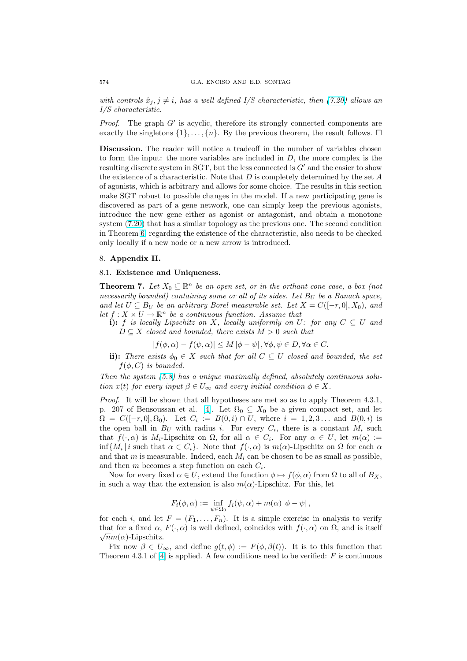with controls  $\hat{x}_i, j \neq i$ , has a well defined I/S characteristic, then (7.20) allows an I/S characteristic.

*Proof.* The graph  $G'$  is acyclic, therefore its strongly connected components are exactly the singletons  $\{1\}, \ldots, \{n\}$ . By the previous theorem, the r[esult](#page-22-0) follows.  $\Box$ 

Discussion. The reader will notice a tradeoff in the number of variables chosen to form the input: the more variables are included in  $D$ , the more complex is the resulting discrete system in SGT, but the less connected is  $G'$  and the easier to show the existence of a characteristic. Note that  $D$  is completely determined by the set  $A$ of agonists, which is arbitrary and allows for some choice. The results in this section make SGT robust to possible changes in the model. If a new participating gene is discovered as part of a gene network, one can simply keep the previous agonists, introduce the new gene either as agonist or antagonist, and obtain a monotone system (7.20) that has a similar topology as the previous one. The second condition in Theorem 6, regarding the existence of the characteristic, also needs to be checked only locally if a new node or a new arrow is introduced.

### 8. App[endi](#page-22-0)x II.

### 8.1. Exist[en](#page-23-0)ce and Uniqueness.

**Theorem 7.** Let  $X_0 \subseteq \mathbb{R}^n$  be an open set, or in the orthant cone case, a box (not necessarily bounded) containing some or all of its sides. Let  $B_U$  be a Banach space, and let  $U \subseteq B_U$  be an arbitrary Borel measurable set. Let  $X = C([-r, 0], X_0)$ , and let  $f: X \times U \to \mathbb{R}^n$  be a continuous function. Assume that

i): f is locally Lipschitz on X, locally uniformly on U: for any  $C \subseteq U$  and  $D \subseteq X$  closed and bounded, there exists  $M > 0$  such that

$$
|f(\phi,\alpha) - f(\psi,\alpha)| \le M |\phi - \psi|, \forall \phi, \psi \in D, \forall \alpha \in C.
$$

ii): There exists  $\phi_0 \in X$  such that for all  $C \subseteq U$  closed and bounded, the set  $f(\phi, C)$  is bounded.

Then the system (5.8) has a unique maximally defined, absolutely continuous solution  $x(t)$  for every input  $\beta \in U_{\infty}$  and every initial condition  $\phi \in X$ .

Proof. It will be shown that all hypotheses are met so as to apply Theorem 4.3.1, p. 207 of Bensoussan et al. [4]. Let  $\Omega_0 \subseteq X_0$  be a given compact set, and let  $\Omega = C([-r, 0], \Omega_0)$ . Let  $C_i := B(0, i) \cap U$ , where  $i = 1, 2, 3...$  and  $B(0, i)$  is the open ball in  $B_U$  with radius i. For every  $C_i$ , there is a constant  $M_i$  such that  $f(\cdot, \alpha)$  is  $M_i$ -Lipschitz on  $\Omega$ , for all  $\alpha \in C_i$ . For any  $\alpha \in U$ , let  $m(\alpha) :=$  $\inf\{M_i\,|\,i\,\,\text{such that}\,\,\alpha\in C_i\}$ . [No](#page-27-0)te that  $f(\cdot,\alpha)$  is  $m(\alpha)$ -Lipschitz on  $\Omega$  for each  $\alpha$ and that m is measurable. Indeed, each  $M_i$  can be chosen to be as small as possible, and then  $m$  becomes a step function on each  $C_i$ .

Now for every fixed  $\alpha \in U$ , extend the function  $\phi \mapsto f(\phi, \alpha)$  from  $\Omega$  to all of  $B_X$ , in such a way that the extension is also  $m(\alpha)$ -Lipschitz. For this, let

$$
F_i(\phi, \alpha) := \inf_{\psi \in \Omega_0} f_i(\psi, \alpha) + m(\alpha) |\phi - \psi|,
$$

for each i, and let  $F = (F_1, \ldots, F_n)$ . It is a simple exercise in analysis to verify that for a fixed  $\alpha$ ,  $F(\cdot, \alpha)$  is well defined, coincides with  $f(\cdot, \alpha)$  on  $\Omega$ , and is itself  $\sqrt{n}m(\alpha)$ -Lipschitz.

Fix now  $\beta \in U_{\infty}$ , and define  $g(t, \phi) := F(\phi, \beta(t))$ . It is to this function that Theorem 4.3.1 of  $[4]$  is applied. A few conditions need to be verified: F is continuous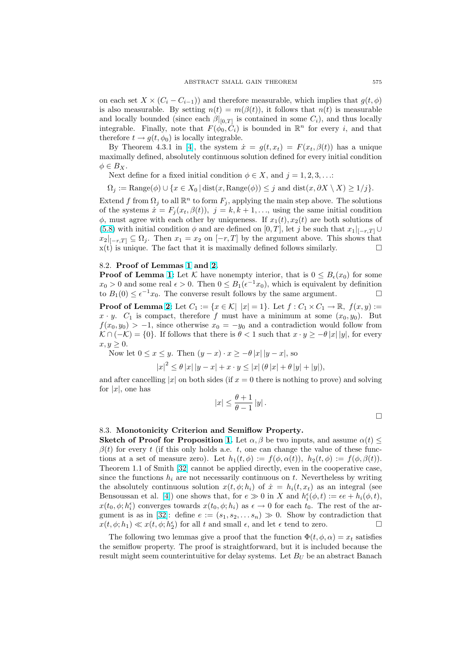on each set  $X \times (C_i - C_{i-1})$  and therefore measurable, which implies that  $g(t, \phi)$ is also measurable. By setting  $n(t) = m(\beta(t))$ , it follows that  $n(t)$  is measurable and locally bounded (since each  $\beta|_{[0,T]}$  is contained in some  $C_i$ ), and thus locally integrable. Finally, note that  $F(\phi_0, \dot{C}_i)$  is bounded in  $\mathbb{R}^n$  for every *i*, and that therefore  $t \to g(t, \phi_0)$  is locally integrable.

By Theorem 4.3.1 in [4], the system  $\dot{x} = g(t, x_t) = F(x_t, \beta(t))$  has a unique maximally defined, absolutely continuous solution defined for every initial condition  $\phi \in B_X$ .

Next define for a fixed initial condition  $\phi \in X$ , and  $j = 1, 2, 3, \ldots$ :

 $\Omega_i := \text{Range}(\phi) \cup \{x \in X_0 \mid \text{dist}(x, \text{Range}(\phi)) \leq j \text{ and } \text{dist}(x, \partial X \setminus X) \geq 1/j\}.$  $\Omega_i := \text{Range}(\phi) \cup \{x \in X_0 \mid \text{dist}(x, \text{Range}(\phi)) \leq j \text{ and } \text{dist}(x, \partial X \setminus X) \geq 1/j\}.$  $\Omega_i := \text{Range}(\phi) \cup \{x \in X_0 \mid \text{dist}(x, \text{Range}(\phi)) \leq j \text{ and } \text{dist}(x, \partial X \setminus X) \geq 1/j\}.$ 

Extend f from  $\Omega_j$  to all  $\mathbb{R}^n$  to form  $F_j$ , applying the main step above. The solutions of the systems  $\dot{x} = F_j(x_t, \beta(t)), \ j = k, k + 1, \ldots$ , using the same initial condition  $\phi$ , must agree with each other by uniqueness. If  $x_1(t), x_2(t)$  are both solutions of (5.8) with initial condition  $\phi$  and are defined on [0, T], let j be such that  $x_1|_{[-r,T]} \cup$  $x_2|_{[-r,T]} \subseteq \Omega_j$ . Then  $x_1 = x_2$  on  $[-r,T]$  by the argument above. This shows that  $x(t)$  is unique. The fact that it is maximally defined follows similarly.

#### [8.2.](#page-12-0) Proof of Lemmas 1 and 2.

**Proof of Lemma 1:** Let K have nonempty interior, that is  $0 \leq B_{\epsilon}(x_0)$  for some  $x_0 > 0$  and some real  $\epsilon > 0$ . Then  $0 \leq B_1(\epsilon^{-1}x_0)$ , which is equivalent by definition to  $B_1(0) \leq \epsilon^{-1}x_0$ . The converse result follows by the same argument.

**Proof of Lemma 2:** Let  $C_1 := \{x \in \mathcal{K} \mid |x| = 1\}$  $C_1 := \{x \in \mathcal{K} \mid |x| = 1\}$  $C_1 := \{x \in \mathcal{K} \mid |x| = 1\}$  $C_1 := \{x \in \mathcal{K} \mid |x| = 1\}$ . Let  $f: C_1 \times C_1 \to \mathbb{R}$ ,  $f(x, y) :=$  $x \cdot y$ .  $C_1$  is comp[act](#page-2-0), therefore f must have a minimum at some  $(x_0, y_0)$ . But  $f(x_0, y_0) > -1$ , since otherwise  $x_0 = -y_0$  and a contradiction would follow from  $\mathcal{K} \cap (-\mathcal{K}) = \{0\}.$  If follows that there is  $\theta < 1$  such that  $x \cdot y \ge -\theta |x||y|$ , for every  $x, y \geq 0.$ 

Now let  $0 \le x \le y$ . Then  $(y - x) \cdot x \ge -\theta |x| |y - x|$ , so

$$
|x|^2 \le \theta |x| |y - x| + x \cdot y \le |x| (\theta |x| + \theta |y| + |y|),
$$

and after cancelling |x| on both sides (if  $x = 0$  there is nothing to prove) and solving for  $|x|$ , one has

$$
|x| \le \frac{\theta + 1}{\theta - 1} |y|.
$$

#### 8.3. Monotonicity Criterion and Semiflow Property.

**Sketch of Proof for Proposition 1.** Let  $\alpha, \beta$  be two inputs, and assume  $\alpha(t) \leq$  $\beta(t)$  for every t (if this only holds a.e. t, one can change the value of these functions at a set of measure zero). Let  $h_1(t, \phi) := f(\phi, \alpha(t))$ ,  $h_2(t, \phi) := f(\phi, \beta(t))$ . Theorem 1.1 of Smith [32] cannot be applied directly, even in the cooperative case, since the functions  $h_i$  are not necess[ari](#page-14-0)ly continuous on t. Nevertheless by writing the absolutely continuous solution  $x(t, \phi; h_i)$  of  $\dot{x} = h_i(t, x_t)$  as an integral (see Bensoussan et al. [4]) one shows that, for  $e \gg 0$  in X and  $h_i^{\epsilon}(\phi, t) := \epsilon e + h_i(\phi, t)$ ,  $x(t_0, \phi; h_i^{\epsilon})$  converges t[owa](#page-28-0)rds  $x(t_0, \phi; h_i)$  as  $\epsilon \to 0$  for each  $t_0$ . The rest of the argument is as in [32]: define  $e := (s_1, s_2, \ldots s_n) \gg 0$ . Show by contradiction that  $x(t, \phi; h_1) \ll x(t, \phi; h_2^{\epsilon})$  for all t and small  $\epsilon$ , and let  $\epsilon$  tend to zero.

The following t[wo](#page-27-0) lemmas give a proof that the function  $\Phi(t, \phi, \alpha) = x_t$  satisfies the semiflow property. The proof is straightforward, but it is included because the result might see[m co](#page-28-0)unterintuitive for delay systems. Let  $B_U$  be an abstract Banach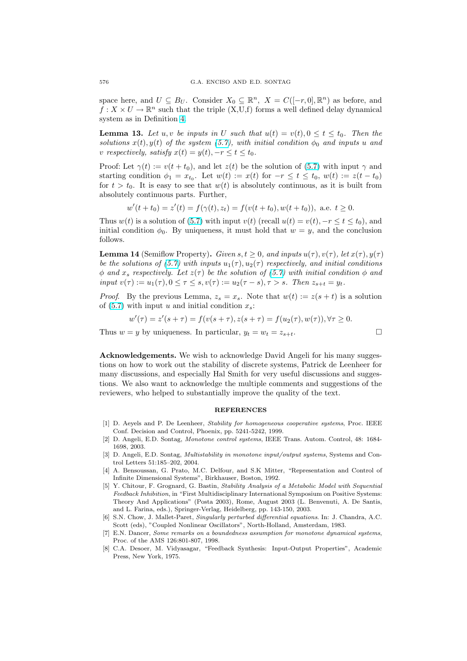space here, and  $U \subseteq B_U$ . Consider  $X_0 \subseteq \mathbb{R}^n$ ,  $X = C([-r, 0], \mathbb{R}^n)$  as before, and  $f: X \times U \to \mathbb{R}^n$  such that the triple  $(X, U, f)$  forms a well defined delay dynamical system as in Definition 4.

**Lemma 13.** Let u, v be inputs in U such that  $u(t) = v(t)$ ,  $0 \le t \le t_0$ . Then the solutions  $x(t)$ ,  $y(t)$  of the system (5.7), with initial condition  $\phi_0$  and inputs u and v respec[t](#page-11-0)ively, satisfy  $x(t) = y(t)$ ,  $-r \le t \le t_0$ .

Proof: Let  $\gamma(t) := v(t + t_0)$ , and let  $z(t)$  be the solution of (5.7) with input  $\gamma$  and starting condition  $\phi_1 = x_{t_0}$ . Let  $w(t) := x(t)$  for  $-r \le t \le t_0$ ,  $w(t) := z(t - t_0)$ for  $t > t_0$ . It is easy to see that  $w(t)$  $w(t)$  is absolutely continuous, as it is built from absolutely continuous parts. Further,

$$
w'(t+t_0) = z'(t) = f(\gamma(t), z_t) = f(v(t+t_0), w(t+t_0)), \text{ a.e. } t \ge 0.
$$

Thus  $w(t)$  is a solution of (5.7) with input  $v(t)$  (recall  $u(t) = v(t)$ ,  $-r \le t \le t_0$ ), and initial condition  $\phi_0$ . By uniqueness, it must hold that  $w = y$ , and the conclusion follows.

**Lemma 14** (Semiflow Property). Given  $s, t \geq 0$ , and inputs  $u(\tau), v(\tau)$ , let  $x(\tau), y(\tau)$ be the solutions of (5.7) w[ith i](#page-11-0)nputs  $u_1(\tau)$ ,  $u_2(\tau)$  respectively, and initial conditions  $\phi$  and  $x_s$  respectively. Let  $z(\tau)$  be the solution of (5.7) with initial condition  $\phi$  and input  $v(\tau) := u_1(\tau), 0 \leq \tau \leq s, v(\tau) := u_2(\tau - s), \tau > s$ . Then  $z_{s+t} = y_t$ .

*Proof.* By the previous Lemma,  $z_s = x_s$ . Note that  $w(t) := z(s + t)$  is a solution of (5.7) with input u [an](#page-11-0)d initial condition  $x_s$ :

$$
w'(\tau) = z'(s + \tau) = f(v(s + \tau), z(s + \tau) = f(u_2(\tau), w(\tau)), \forall \tau \ge 0.
$$

Thus  $w = y$  by uniqueness. In particular,  $y_t = w_t = z_{s+t}$ .

Acknowledgements. We wish to acknowledge David Angeli for his many suggestions on how to work out the stability of discrete systems, Patrick de Leenheer for many discussions, and especially Hal Smith for very useful discussions and suggestions. We also want to acknowledge the multiple comments and suggestions of the reviewers, who helped to substantially improve the quality of the text.

#### **REFERENCES**

- [1] D. Aeyels and P. De Leenheer, Stability for homogeneous cooperative systems, Proc. IEEE Conf. Decision and Control, Phoenix, pp. 5241-5242, 1999.
- [2] D. Angeli, E.D. Sontag, Monotone control systems, IEEE Trans. Autom. Control, 48: 1684- 1698, 2003.
- [3] D. Angeli, E.D. Sontag, Multistability in monotone input/output systems, Systems and Control Letters 51:185–202, 2004.
- [4] A. Bensoussan, G. Prato, M.C. Delfour, and S.K Mitter, "Representation and Control of Infinite Dimensional Systems", Birkhauser, Boston, 1992.
- [5] Y. Chitour, F. Grognard, G. Bastin, Stability Analysis of a Metabolic Model with Sequential Feedback Inhibition, in "First Multidisciplinary International Symposium on Positive Systems: Theory And Applications" (Posta 2003), Rome, August 2003 (L. Benvenuti, A. De Santis, and L. Farina, eds.), Springer-Verlag, Heidelberg, pp. 143-150, 2003.
- [6] S.N. Chow, J. Mallet-Paret, Singularly perturbed differential equations. In: J. Chandra, A.C. Scott (eds), "Coupled Nonlinear Oscillators", North-Holland, Amsterdam, 1983.
- [7] E.N. Dancer, Some remarks on a boundedness assumption for monotone dynamical systems, Proc. of the AMS 126:801-807, 1998.
- [8] C.A. Desoer, M. Vidyasagar, "Feedback Synthesis: Input-Output Properties", Academic Press, New York, 1975.

<span id="page-27-0"></span>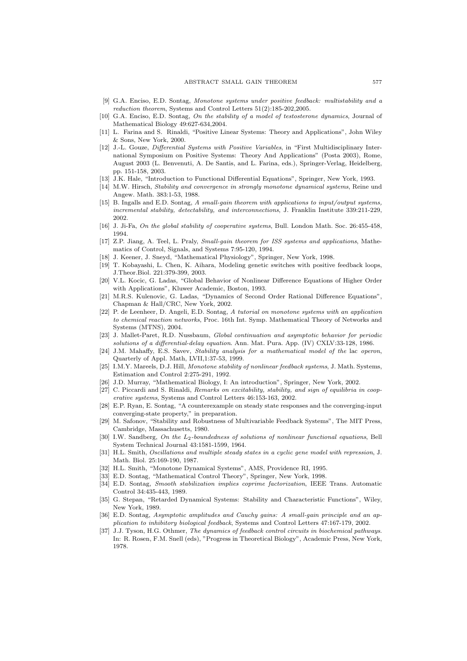- <span id="page-28-0"></span>[9] G.A. Enciso, E.D. Sontag, Monotone systems under positive feedback: multistability and a reduction theorem, Systems and Control Letters 51(2):185-202,2005.
- [10] G.A. Enciso, E.D. Sontag, On the stability of a model of testosterone dynamics, Journal of Mathematical Biology 49:627-634,2004.
- [11] L. Farina and S. Rinaldi, "Positive Linear Systems: Theory and Applications", John Wiley & Sons, New York, 2000.
- [12] J.-L. Gouze, Differential Systems with Positive Variables, in "First Multidisciplinary International Symposium on Positive Systems: Theory And Applications" (Posta 2003), Rome, August 2003 (L. Benvenuti, A. De Santis, and L. Farina, eds.), Springer-Verlag, Heidelberg, pp. 151-158, 2003.
- [13] J.K. Hale, "Introduction to Functional Differential Equations", Springer, New York, 1993.
- [14] M.W. Hirsch, Stability and convergence in strongly monotone dynamical systems, Reine und Angew. Math. 383:1-53, 1988.
- [15] B. Ingalls and E.D. Sontag, A small-gain theorem with applications to input/output systems, incremental stability, detectability, and interconnections, J. Franklin Institute 339:211-229, 2002.
- [16] J. Ji-Fa, On the global stability of cooperative systems, Bull. London Math. Soc. 26:455-458, 1994.
- [17] Z.P. Jiang, A. Teel, L. Praly, Small-gain theorem for ISS systems and applications, Mathematics of Control, Signals, and Systems 7:95-120, 1994.
- [18] J. Keener, J. Sneyd, "Mathematical Physiology", Springer, New York, 1998.
- [19] T. Kobayashi, L. Chen, K. Aihara, Modeling genetic switches with positive feedback loops, J.Theor.Biol. 221:379-399, 2003.
- [20] V.L. Kocic, G. Ladas, "Global Behavior of Nonlinear Difference Equations of Higher Order with Applications", Kluwer Academic, Boston, 1993.
- [21] M.R.S. Kulenovic, G. Ladas, "Dynamics of Second Order Rational Difference Equations", Chapman & Hall/CRC, New York, 2002.
- [22] P. de Leenheer, D. Angeli, E.D. Sontag, A tutorial on monotone systems with an application to chemical reaction networks, Proc. 16th Int. Symp. Mathematical Theory of Networks and Systems (MTNS), 2004.
- [23] J. Mallet-Paret, R.D. Nussbaum, Global continuation and asymptotic behavior for periodic solutions of a differential-delay equation. Ann. Mat. Pura. App. (IV) CXLV:33-128, 1986.
- [24] J.M. Mahaffy, E.S. Savev, Stability analysis for a mathematical model of the lac operon, Quarterly of Appl. Math, LVII,1:37-53, 1999.
- [25] I.M.Y. Mareels, D.J. Hill, Monotone stability of nonlinear feedback systems, J. Math. Systems, Estimation and Control 2:275-291, 1992.
- [26] J.D. Murray, "Mathematical Biology, I: An introduction", Springer, New York, 2002.
- [27] C. Piccardi and S. Rinaldi, Remarks on excitability, stability, and sign of equilibria in cooperative systems, Systems and Control Letters 46:153-163, 2002.
- [28] E.P. Ryan, E. Sontag, "A counterexample on steady state responses and the converging-input converging-state property," in preparation.
- [29] M. Safonov, "Stability and Robustness of Multivariable Feedback Systems", The MIT Press, Cambridge, Massachusetts, 1980.
- [30] I.W. Sandberg, On the L<sub>2</sub>-boundedness of solutions of nonlinear functional equations, Bell System Technical Journal 43:1581-1599, 1964.
- [31] H.L. Smith, Oscillations and multiple steady states in a cyclic gene model with repression, J. Math. Biol. 25:169-190, 1987.
- [32] H.L. Smith, "Monotone Dynamical Systems", AMS, Providence RI, 1995.
- [33] E.D. Sontag, "Mathematical Control Theory", Springer, New York, 1998.
- [34] E.D. Sontag, Smooth stabilization implies coprime factorization, IEEE Trans. Automatic Control 34:435-443, 1989.
- [35] G. Stepan, "Retarded Dynamical Systems: Stability and Characteristic Functions", Wiley, New York, 1989.
- [36] E.D. Sontag, Asymptotic amplitudes and Cauchy gains: A small-gain principle and an application to inhibitory biological feedback, Systems and Control Letters 47:167-179, 2002.
- [37] J.J. Tyson, H.G. Othmer, The dynamics of feedback control circuits in biochemical pathways. In: R. Rosen, F.M. Snell (eds), "Progress in Theoretical Biology", Academic Press, New York, 1978.